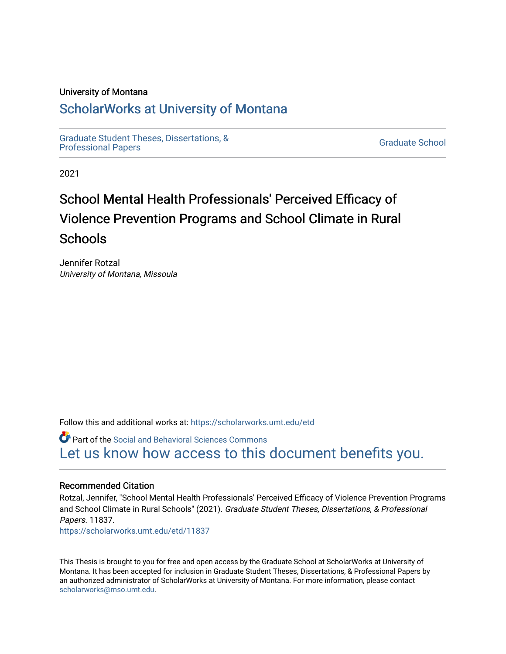## University of Montana

## [ScholarWorks at University of Montana](https://scholarworks.umt.edu/)

[Graduate Student Theses, Dissertations, &](https://scholarworks.umt.edu/etd) Graduate Student Theses, Dissertations, & Contract Control of the Graduate School [Professional Papers](https://scholarworks.umt.edu/etd) Contract Control of the Contract Control of the Contract Control of the Contract Contract Contract Control of the Contra

2021

# School Mental Health Professionals' Perceived Efficacy of Violence Prevention Programs and School Climate in Rural **Schools**

Jennifer Rotzal University of Montana, Missoula

Follow this and additional works at: [https://scholarworks.umt.edu/etd](https://scholarworks.umt.edu/etd?utm_source=scholarworks.umt.edu%2Fetd%2F11837&utm_medium=PDF&utm_campaign=PDFCoverPages) 

Part of the [Social and Behavioral Sciences Commons](http://network.bepress.com/hgg/discipline/316?utm_source=scholarworks.umt.edu%2Fetd%2F11837&utm_medium=PDF&utm_campaign=PDFCoverPages)  [Let us know how access to this document benefits you.](https://goo.gl/forms/s2rGfXOLzz71qgsB2) 

### Recommended Citation

Rotzal, Jennifer, "School Mental Health Professionals' Perceived Efficacy of Violence Prevention Programs and School Climate in Rural Schools" (2021). Graduate Student Theses, Dissertations, & Professional Papers. 11837. [https://scholarworks.umt.edu/etd/11837](https://scholarworks.umt.edu/etd/11837?utm_source=scholarworks.umt.edu%2Fetd%2F11837&utm_medium=PDF&utm_campaign=PDFCoverPages) 

This Thesis is brought to you for free and open access by the Graduate School at ScholarWorks at University of Montana. It has been accepted for inclusion in Graduate Student Theses, Dissertations, & Professional Papers by an authorized administrator of ScholarWorks at University of Montana. For more information, please contact [scholarworks@mso.umt.edu.](mailto:scholarworks@mso.umt.edu)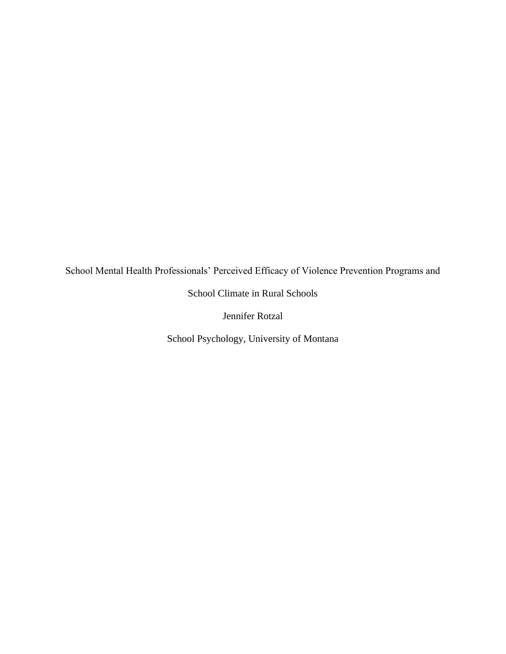School Mental Health Professionals' Perceived Efficacy of Violence Prevention Programs and

School Climate in Rural Schools

Jennifer Rotzal

School Psychology, University of Montana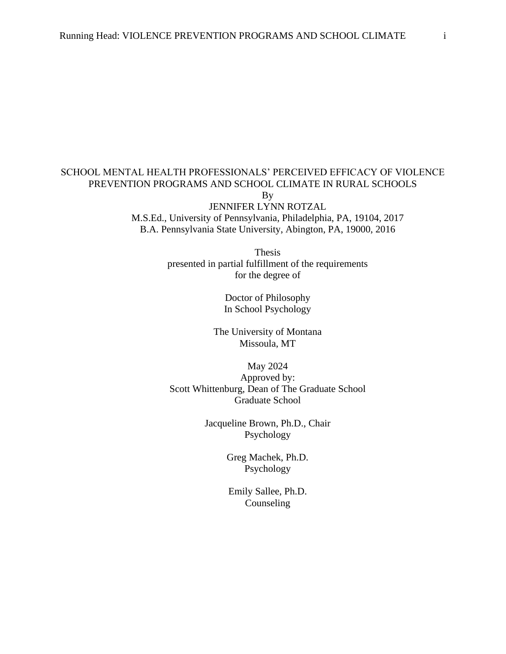## SCHOOL MENTAL HEALTH PROFESSIONALS' PERCEIVED EFFICACY OF VIOLENCE PREVENTION PROGRAMS AND SCHOOL CLIMATE IN RURAL SCHOOLS By

JENNIFER LYNN ROTZAL M.S.Ed., University of Pennsylvania, Philadelphia, PA, 19104, 2017 B.A. Pennsylvania State University, Abington, PA, 19000, 2016

> Thesis presented in partial fulfillment of the requirements for the degree of

> > Doctor of Philosophy In School Psychology

The University of Montana Missoula, MT

May 2024 Approved by: Scott Whittenburg, Dean of The Graduate School Graduate School

> Jacqueline Brown, Ph.D., Chair Psychology

> > Greg Machek, Ph.D. Psychology

Emily Sallee, Ph.D. Counseling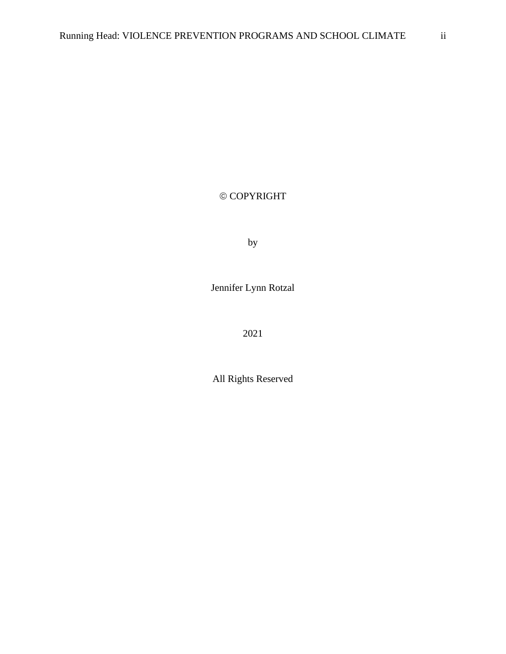## © COPYRIGHT

by

Jennifer Lynn Rotzal

2021

All Rights Reserved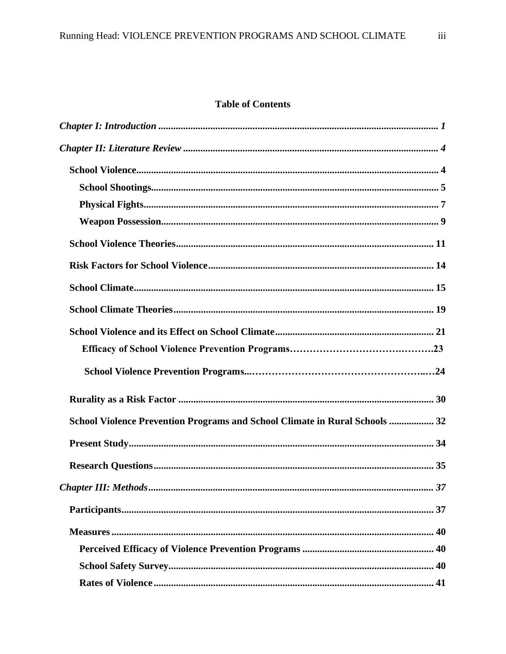## **Table of Contents**

| School Violence Prevention Programs and School Climate in Rural Schools  32                                                                                                                                                                                                                                                                                                                                                                                                                                            |  |
|------------------------------------------------------------------------------------------------------------------------------------------------------------------------------------------------------------------------------------------------------------------------------------------------------------------------------------------------------------------------------------------------------------------------------------------------------------------------------------------------------------------------|--|
|                                                                                                                                                                                                                                                                                                                                                                                                                                                                                                                        |  |
|                                                                                                                                                                                                                                                                                                                                                                                                                                                                                                                        |  |
|                                                                                                                                                                                                                                                                                                                                                                                                                                                                                                                        |  |
|                                                                                                                                                                                                                                                                                                                                                                                                                                                                                                                        |  |
| $\textbf{Measures} \textcolor{red}{} \textcolor{red}{} \textcolor{red}{} \textcolor{red}{} \textcolor{red}{} \textcolor{red}{} \textcolor{red}{} \textcolor{red}{} \textcolor{red}{} \textcolor{red}{} \textcolor{red}{} \textcolor{red}{} \textcolor{red}{} \textcolor{red}{} \textcolor{red}{} \textcolor{red}{} \textcolor{red}{} \textcolor{red}{} \textcolor{red}{} \textcolor{red}{} \textcolor{red}{} \textcolor{red}{} \textcolor{red}{} \textcolor{red}{} \textcolor{red}{} \textcolor{red}{} \textcolor{red$ |  |
|                                                                                                                                                                                                                                                                                                                                                                                                                                                                                                                        |  |
|                                                                                                                                                                                                                                                                                                                                                                                                                                                                                                                        |  |
|                                                                                                                                                                                                                                                                                                                                                                                                                                                                                                                        |  |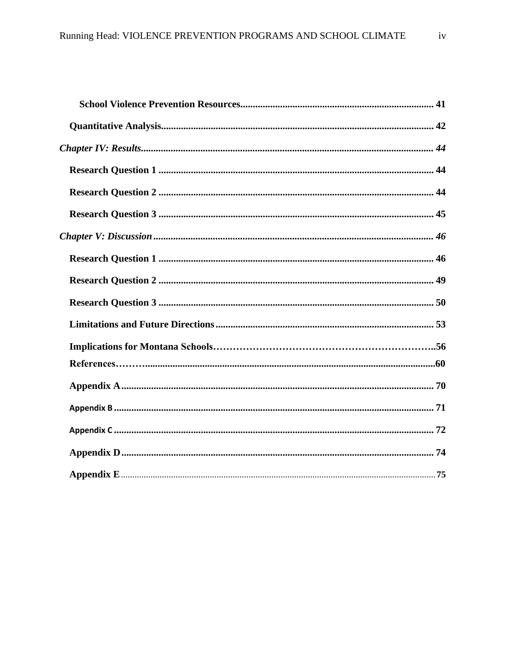<span id="page-5-0"></span>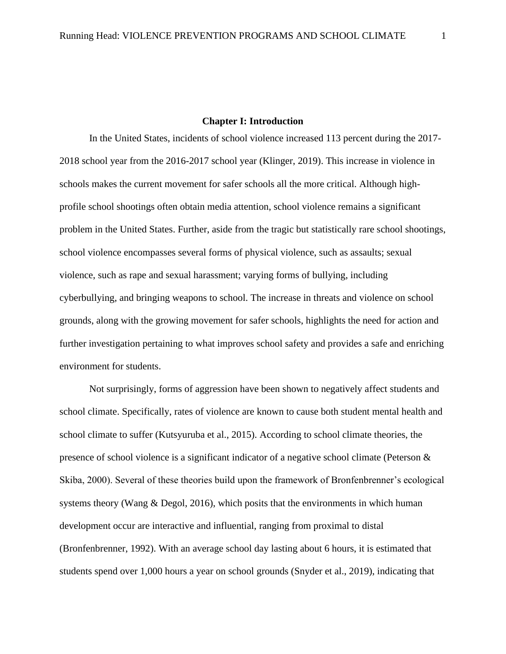#### **Chapter I: Introduction**

In the United States, incidents of school violence increased 113 percent during the 2017- 2018 school year from the 2016-2017 school year (Klinger, 2019). This increase in violence in schools makes the current movement for safer schools all the more critical. Although highprofile school shootings often obtain media attention, school violence remains a significant problem in the United States. Further, aside from the tragic but statistically rare school shootings, school violence encompasses several forms of physical violence, such as assaults; sexual violence, such as rape and sexual harassment; varying forms of bullying, including cyberbullying, and bringing weapons to school. The increase in threats and violence on school grounds, along with the growing movement for safer schools, highlights the need for action and further investigation pertaining to what improves school safety and provides a safe and enriching environment for students.

Not surprisingly, forms of aggression have been shown to negatively affect students and school climate. Specifically, rates of violence are known to cause both student mental health and school climate to suffer (Kutsyuruba et al., 2015). According to school climate theories, the presence of school violence is a significant indicator of a negative school climate (Peterson  $\&$ Skiba, 2000). Several of these theories build upon the framework of Bronfenbrenner's ecological systems theory (Wang  $\&$  Degol, 2016), which posits that the environments in which human development occur are interactive and influential, ranging from proximal to distal (Bronfenbrenner, 1992). With an average school day lasting about 6 hours, it is estimated that students spend over 1,000 hours a year on school grounds (Snyder et al., 2019), indicating that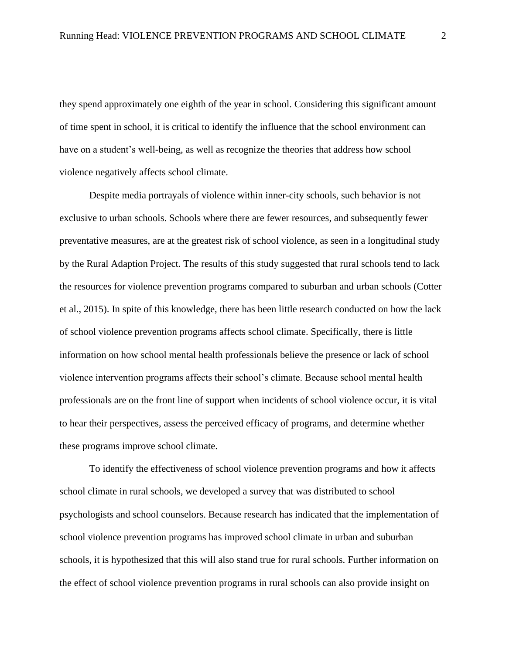they spend approximately one eighth of the year in school. Considering this significant amount of time spent in school, it is critical to identify the influence that the school environment can have on a student's well-being, as well as recognize the theories that address how school violence negatively affects school climate.

Despite media portrayals of violence within inner-city schools, such behavior is not exclusive to urban schools. Schools where there are fewer resources, and subsequently fewer preventative measures, are at the greatest risk of school violence, as seen in a longitudinal study by the Rural Adaption Project. The results of this study suggested that rural schools tend to lack the resources for violence prevention programs compared to suburban and urban schools (Cotter et al., 2015). In spite of this knowledge, there has been little research conducted on how the lack of school violence prevention programs affects school climate. Specifically, there is little information on how school mental health professionals believe the presence or lack of school violence intervention programs affects their school's climate. Because school mental health professionals are on the front line of support when incidents of school violence occur, it is vital to hear their perspectives, assess the perceived efficacy of programs, and determine whether these programs improve school climate.

To identify the effectiveness of school violence prevention programs and how it affects school climate in rural schools, we developed a survey that was distributed to school psychologists and school counselors. Because research has indicated that the implementation of school violence prevention programs has improved school climate in urban and suburban schools, it is hypothesized that this will also stand true for rural schools. Further information on the effect of school violence prevention programs in rural schools can also provide insight on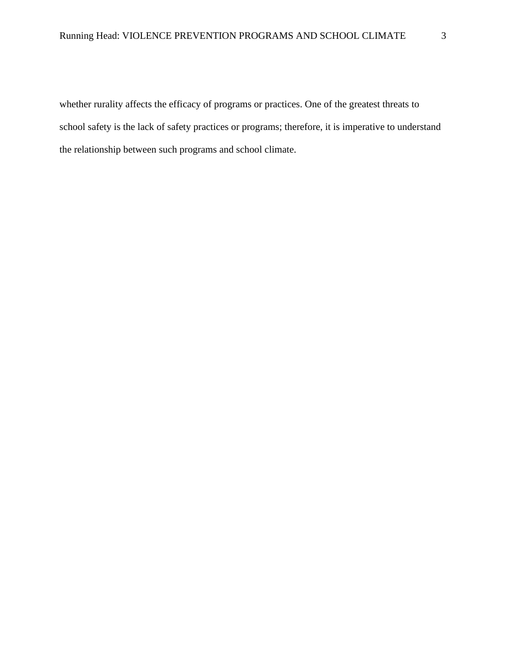<span id="page-8-0"></span>whether rurality affects the efficacy of programs or practices. One of the greatest threats to school safety is the lack of safety practices or programs; therefore, it is imperative to understand the relationship between such programs and school climate.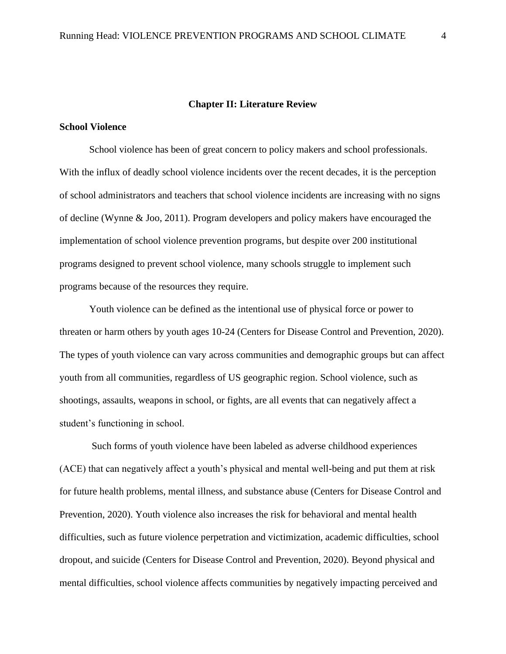#### **Chapter II: Literature Review**

### <span id="page-9-0"></span>**School Violence**

School violence has been of great concern to policy makers and school professionals. With the influx of deadly school violence incidents over the recent decades, it is the perception of school administrators and teachers that school violence incidents are increasing with no signs of decline (Wynne & Joo, 2011). Program developers and policy makers have encouraged the implementation of school violence prevention programs, but despite over 200 institutional programs designed to prevent school violence, many schools struggle to implement such programs because of the resources they require.

Youth violence can be defined as the intentional use of physical force or power to threaten or harm others by youth ages 10-24 (Centers for Disease Control and Prevention, 2020). The types of youth violence can vary across communities and demographic groups but can affect youth from all communities, regardless of US geographic region. School violence, such as shootings, assaults, weapons in school, or fights, are all events that can negatively affect a student's functioning in school.

Such forms of youth violence have been labeled as adverse childhood experiences (ACE) that can negatively affect a youth's physical and mental well-being and put them at risk for future health problems, mental illness, and substance abuse (Centers for Disease Control and Prevention, 2020). Youth violence also increases the risk for behavioral and mental health difficulties, such as future violence perpetration and victimization, academic difficulties, school dropout, and suicide (Centers for Disease Control and Prevention, 2020). Beyond physical and mental difficulties, school violence affects communities by negatively impacting perceived and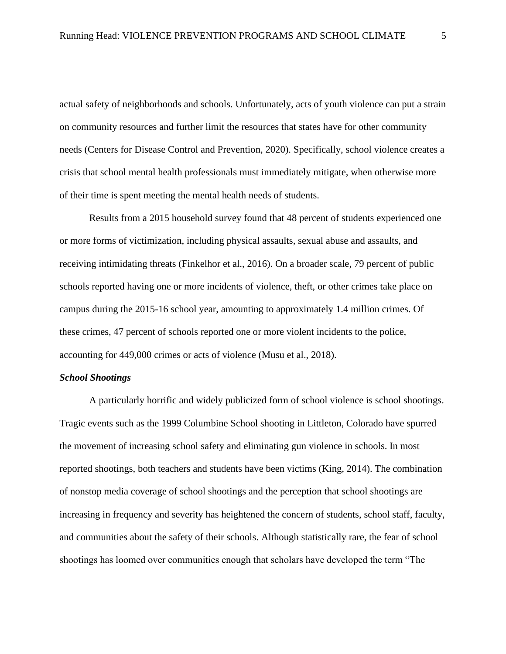actual safety of neighborhoods and schools. Unfortunately, acts of youth violence can put a strain on community resources and further limit the resources that states have for other community needs (Centers for Disease Control and Prevention, 2020). Specifically, school violence creates a crisis that school mental health professionals must immediately mitigate, when otherwise more of their time is spent meeting the mental health needs of students.

Results from a 2015 household survey found that 48 percent of students experienced one or more forms of victimization, including physical assaults, sexual abuse and assaults, and receiving intimidating threats (Finkelhor et al., 2016). On a broader scale, 79 percent of public schools reported having one or more incidents of violence, theft, or other crimes take place on campus during the 2015-16 school year, amounting to approximately 1.4 million crimes. Of these crimes, 47 percent of schools reported one or more violent incidents to the police, accounting for 449,000 crimes or acts of violence (Musu et al., 2018).

## <span id="page-10-0"></span>*School Shootings*

A particularly horrific and widely publicized form of school violence is school shootings. Tragic events such as the 1999 Columbine School shooting in Littleton, Colorado have spurred the movement of increasing school safety and eliminating gun violence in schools. In most reported shootings, both teachers and students have been victims (King, 2014). The combination of nonstop media coverage of school shootings and the perception that school shootings are increasing in frequency and severity has heightened the concern of students, school staff, faculty, and communities about the safety of their schools. Although statistically rare, the fear of school shootings has loomed over communities enough that scholars have developed the term "The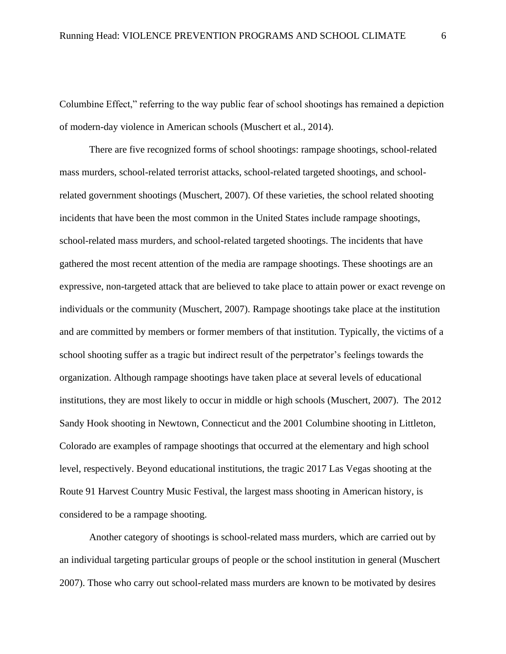Columbine Effect," referring to the way public fear of school shootings has remained a depiction of modern-day violence in American schools (Muschert et al., 2014).

There are five recognized forms of school shootings: rampage shootings, school-related mass murders, school-related terrorist attacks, school-related targeted shootings, and schoolrelated government shootings (Muschert, 2007). Of these varieties, the school related shooting incidents that have been the most common in the United States include rampage shootings, school-related mass murders, and school-related targeted shootings. The incidents that have gathered the most recent attention of the media are rampage shootings. These shootings are an expressive, non-targeted attack that are believed to take place to attain power or exact revenge on individuals or the community (Muschert, 2007). Rampage shootings take place at the institution and are committed by members or former members of that institution. Typically, the victims of a school shooting suffer as a tragic but indirect result of the perpetrator's feelings towards the organization. Although rampage shootings have taken place at several levels of educational institutions, they are most likely to occur in middle or high schools (Muschert, 2007). The 2012 Sandy Hook shooting in Newtown, Connecticut and the 2001 Columbine shooting in Littleton, Colorado are examples of rampage shootings that occurred at the elementary and high school level, respectively. Beyond educational institutions, the tragic 2017 Las Vegas shooting at the Route 91 Harvest Country Music Festival, the largest mass shooting in American history, is considered to be a rampage shooting.

Another category of shootings is school-related mass murders, which are carried out by an individual targeting particular groups of people or the school institution in general (Muschert 2007). Those who carry out school-related mass murders are known to be motivated by desires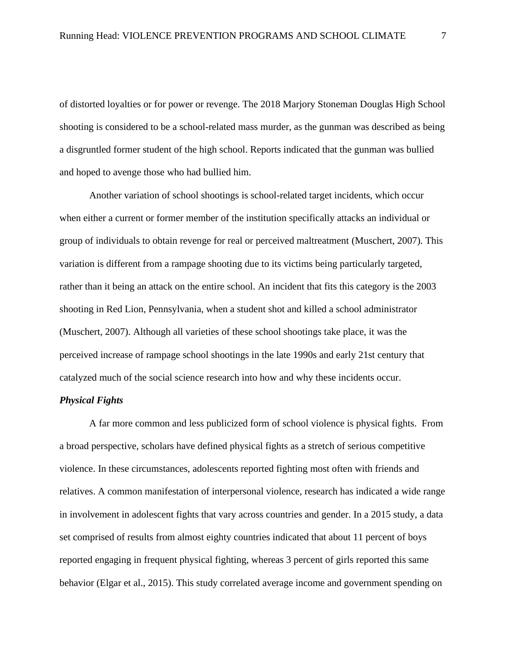of distorted loyalties or for power or revenge. The 2018 Marjory Stoneman Douglas High School shooting is considered to be a school-related mass murder, as the gunman was described as being a disgruntled former student of the high school. Reports indicated that the gunman was bullied and hoped to avenge those who had bullied him.

Another variation of school shootings is school-related target incidents, which occur when either a current or former member of the institution specifically attacks an individual or group of individuals to obtain revenge for real or perceived maltreatment (Muschert, 2007). This variation is different from a rampage shooting due to its victims being particularly targeted, rather than it being an attack on the entire school. An incident that fits this category is the 2003 shooting in Red Lion, Pennsylvania, when a student shot and killed a school administrator (Muschert, 2007). Although all varieties of these school shootings take place, it was the perceived increase of rampage school shootings in the late 1990s and early 21st century that catalyzed much of the social science research into how and why these incidents occur.

## <span id="page-12-0"></span>*Physical Fights*

A far more common and less publicized form of school violence is physical fights. From a broad perspective, scholars have defined physical fights as a stretch of serious competitive violence. In these circumstances, adolescents reported fighting most often with friends and relatives. A common manifestation of interpersonal violence, research has indicated a wide range in involvement in adolescent fights that vary across countries and gender. In a 2015 study, a data set comprised of results from almost eighty countries indicated that about 11 percent of boys reported engaging in frequent physical fighting, whereas 3 percent of girls reported this same behavior (Elgar et al., 2015). This study correlated average income and government spending on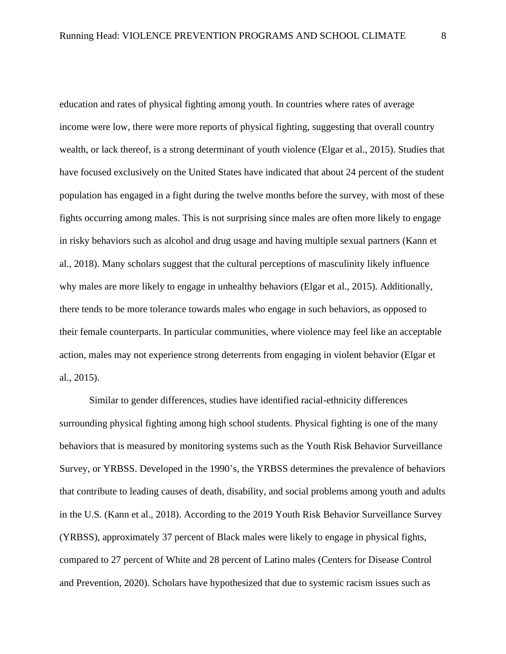education and rates of physical fighting among youth. In countries where rates of average income were low, there were more reports of physical fighting, suggesting that overall country wealth, or lack thereof, is a strong determinant of youth violence (Elgar et al., 2015). Studies that have focused exclusively on the United States have indicated that about 24 percent of the student population has engaged in a fight during the twelve months before the survey, with most of these fights occurring among males. This is not surprising since males are often more likely to engage in risky behaviors such as alcohol and drug usage and having multiple sexual partners (Kann et al., 2018). Many scholars suggest that the cultural perceptions of masculinity likely influence why males are more likely to engage in unhealthy behaviors (Elgar et al., 2015). Additionally, there tends to be more tolerance towards males who engage in such behaviors, as opposed to their female counterparts. In particular communities, where violence may feel like an acceptable action, males may not experience strong deterrents from engaging in violent behavior (Elgar et al., 2015).

Similar to gender differences, studies have identified racial-ethnicity differences surrounding physical fighting among high school students. Physical fighting is one of the many behaviors that is measured by monitoring systems such as the Youth Risk Behavior Surveillance Survey, or YRBSS. Developed in the 1990's, the YRBSS determines the prevalence of behaviors that contribute to leading causes of death, disability, and social problems among youth and adults in the U.S. (Kann et al., 2018). According to the 2019 Youth Risk Behavior Surveillance Survey (YRBSS), approximately 37 percent of Black males were likely to engage in physical fights, compared to 27 percent of White and 28 percent of Latino males (Centers for Disease Control and Prevention, 2020). Scholars have hypothesized that due to systemic racism issues such as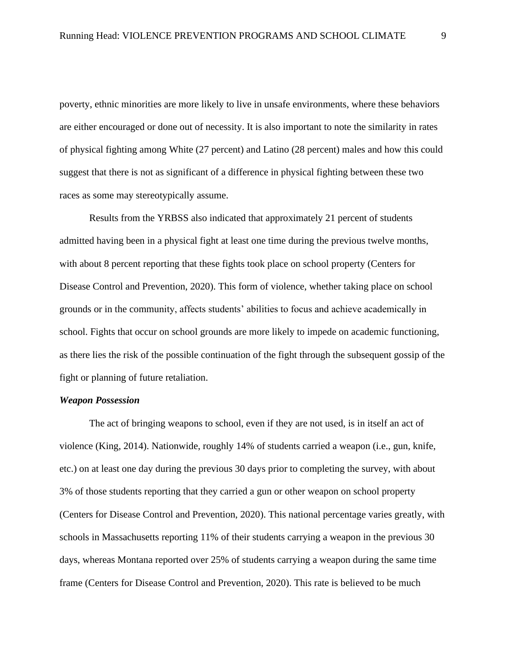poverty, ethnic minorities are more likely to live in unsafe environments, where these behaviors are either encouraged or done out of necessity. It is also important to note the similarity in rates of physical fighting among White (27 percent) and Latino (28 percent) males and how this could suggest that there is not as significant of a difference in physical fighting between these two races as some may stereotypically assume.

Results from the YRBSS also indicated that approximately 21 percent of students admitted having been in a physical fight at least one time during the previous twelve months, with about 8 percent reporting that these fights took place on school property (Centers for Disease Control and Prevention, 2020). This form of violence, whether taking place on school grounds or in the community, affects students' abilities to focus and achieve academically in school. Fights that occur on school grounds are more likely to impede on academic functioning, as there lies the risk of the possible continuation of the fight through the subsequent gossip of the fight or planning of future retaliation.

## <span id="page-14-0"></span>*Weapon Possession*

The act of bringing weapons to school, even if they are not used, is in itself an act of violence (King, 2014). Nationwide, roughly 14% of students carried a weapon (i.e., gun, knife, etc.) on at least one day during the previous 30 days prior to completing the survey, with about 3% of those students reporting that they carried a gun or other weapon on school property (Centers for Disease Control and Prevention, 2020). This national percentage varies greatly, with schools in Massachusetts reporting 11% of their students carrying a weapon in the previous 30 days, whereas Montana reported over 25% of students carrying a weapon during the same time frame (Centers for Disease Control and Prevention, 2020). This rate is believed to be much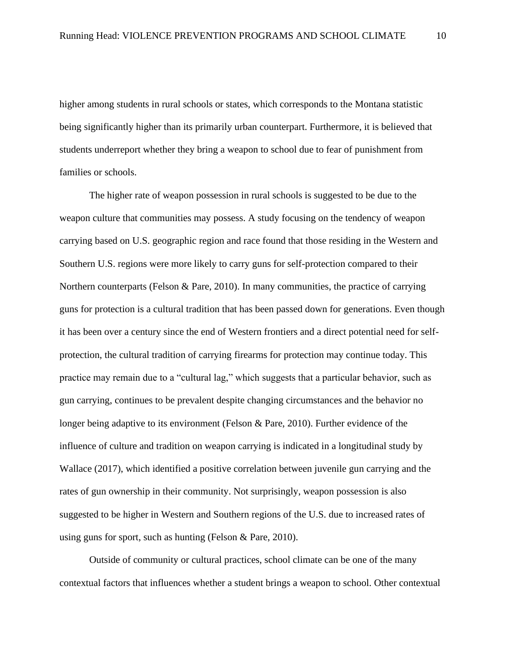higher among students in rural schools or states, which corresponds to the Montana statistic being significantly higher than its primarily urban counterpart. Furthermore, it is believed that students underreport whether they bring a weapon to school due to fear of punishment from families or schools.

The higher rate of weapon possession in rural schools is suggested to be due to the weapon culture that communities may possess. A study focusing on the tendency of weapon carrying based on U.S. geographic region and race found that those residing in the Western and Southern U.S. regions were more likely to carry guns for self-protection compared to their Northern counterparts (Felson & Pare, 2010). In many communities, the practice of carrying guns for protection is a cultural tradition that has been passed down for generations. Even though it has been over a century since the end of Western frontiers and a direct potential need for selfprotection, the cultural tradition of carrying firearms for protection may continue today. This practice may remain due to a "cultural lag," which suggests that a particular behavior, such as gun carrying, continues to be prevalent despite changing circumstances and the behavior no longer being adaptive to its environment (Felson & Pare, 2010). Further evidence of the influence of culture and tradition on weapon carrying is indicated in a longitudinal study by Wallace (2017), which identified a positive correlation between juvenile gun carrying and the rates of gun ownership in their community. Not surprisingly, weapon possession is also suggested to be higher in Western and Southern regions of the U.S. due to increased rates of using guns for sport, such as hunting (Felson & Pare, 2010).

Outside of community or cultural practices, school climate can be one of the many contextual factors that influences whether a student brings a weapon to school. Other contextual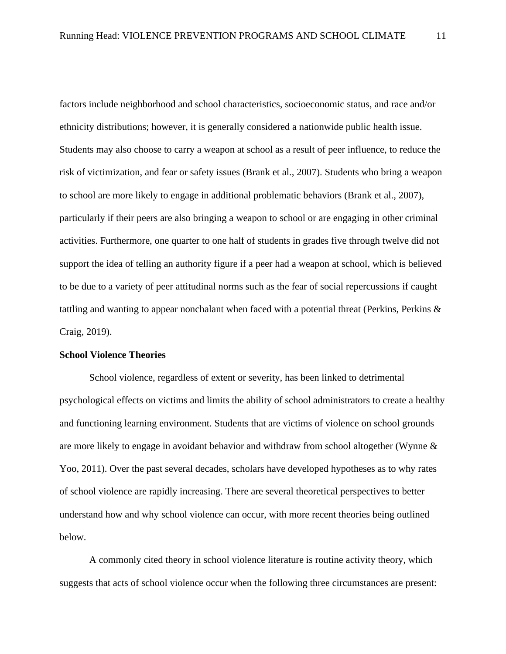factors include neighborhood and school characteristics, socioeconomic status, and race and/or ethnicity distributions; however, it is generally considered a nationwide public health issue. Students may also choose to carry a weapon at school as a result of peer influence, to reduce the risk of victimization, and fear or safety issues (Brank et al., 2007). Students who bring a weapon to school are more likely to engage in additional problematic behaviors (Brank et al., 2007), particularly if their peers are also bringing a weapon to school or are engaging in other criminal activities. Furthermore, one quarter to one half of students in grades five through twelve did not support the idea of telling an authority figure if a peer had a weapon at school, which is believed to be due to a variety of peer attitudinal norms such as the fear of social repercussions if caught tattling and wanting to appear nonchalant when faced with a potential threat (Perkins, Perkins & Craig, 2019).

## <span id="page-16-0"></span>**School Violence Theories**

School violence, regardless of extent or severity, has been linked to detrimental psychological effects on victims and limits the ability of school administrators to create a healthy and functioning learning environment. Students that are victims of violence on school grounds are more likely to engage in avoidant behavior and withdraw from school altogether (Wynne & Yoo, 2011). Over the past several decades, scholars have developed hypotheses as to why rates of school violence are rapidly increasing. There are several theoretical perspectives to better understand how and why school violence can occur, with more recent theories being outlined below.

 A commonly cited theory in school violence literature is routine activity theory, which suggests that acts of school violence occur when the following three circumstances are present: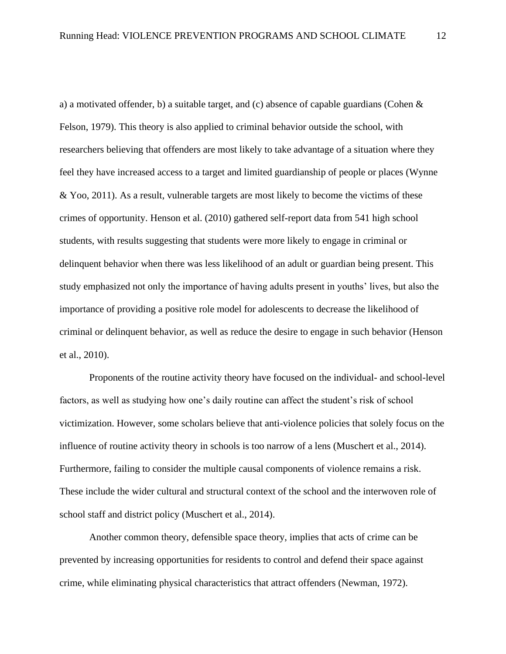a) a motivated offender, b) a suitable target, and (c) absence of capable guardians (Cohen & Felson, 1979). This theory is also applied to criminal behavior outside the school, with researchers believing that offenders are most likely to take advantage of a situation where they feel they have increased access to a target and limited guardianship of people or places (Wynne & Yoo, 2011). As a result, vulnerable targets are most likely to become the victims of these crimes of opportunity. Henson et al. (2010) gathered self-report data from 541 high school students, with results suggesting that students were more likely to engage in criminal or delinquent behavior when there was less likelihood of an adult or guardian being present. This study emphasized not only the importance of having adults present in youths' lives, but also the importance of providing a positive role model for adolescents to decrease the likelihood of criminal or delinquent behavior, as well as reduce the desire to engage in such behavior (Henson et al., 2010).

Proponents of the routine activity theory have focused on the individual- and school-level factors, as well as studying how one's daily routine can affect the student's risk of school victimization. However, some scholars believe that anti-violence policies that solely focus on the influence of routine activity theory in schools is too narrow of a lens (Muschert et al., 2014). Furthermore, failing to consider the multiple causal components of violence remains a risk. These include the wider cultural and structural context of the school and the interwoven role of school staff and district policy (Muschert et al., 2014).

Another common theory, defensible space theory, implies that acts of crime can be prevented by increasing opportunities for residents to control and defend their space against crime, while eliminating physical characteristics that attract offenders (Newman, 1972).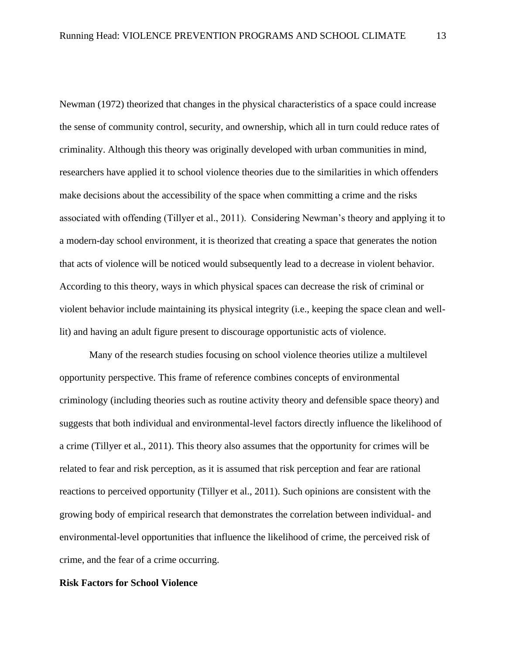Newman (1972) theorized that changes in the physical characteristics of a space could increase the sense of community control, security, and ownership, which all in turn could reduce rates of criminality. Although this theory was originally developed with urban communities in mind, researchers have applied it to school violence theories due to the similarities in which offenders make decisions about the accessibility of the space when committing a crime and the risks associated with offending (Tillyer et al., 2011). Considering Newman's theory and applying it to a modern-day school environment, it is theorized that creating a space that generates the notion that acts of violence will be noticed would subsequently lead to a decrease in violent behavior. According to this theory, ways in which physical spaces can decrease the risk of criminal or violent behavior include maintaining its physical integrity (i.e., keeping the space clean and welllit) and having an adult figure present to discourage opportunistic acts of violence.

Many of the research studies focusing on school violence theories utilize a multilevel opportunity perspective. This frame of reference combines concepts of environmental criminology (including theories such as routine activity theory and defensible space theory) and suggests that both individual and environmental-level factors directly influence the likelihood of a crime (Tillyer et al., 2011). This theory also assumes that the opportunity for crimes will be related to fear and risk perception, as it is assumed that risk perception and fear are rational reactions to perceived opportunity (Tillyer et al., 2011). Such opinions are consistent with the growing body of empirical research that demonstrates the correlation between individual- and environmental-level opportunities that influence the likelihood of crime, the perceived risk of crime, and the fear of a crime occurring.

## <span id="page-18-0"></span>**Risk Factors for School Violence**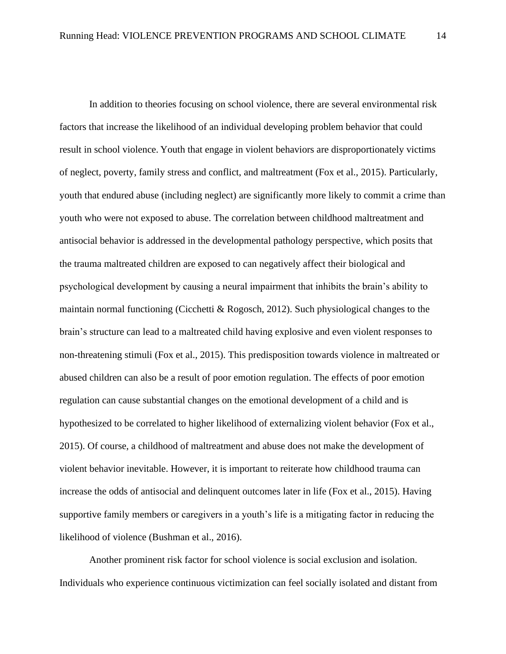In addition to theories focusing on school violence, there are several environmental risk factors that increase the likelihood of an individual developing problem behavior that could result in school violence. Youth that engage in violent behaviors are disproportionately victims of neglect, poverty, family stress and conflict, and maltreatment (Fox et al., 2015). Particularly, youth that endured abuse (including neglect) are significantly more likely to commit a crime than youth who were not exposed to abuse. The correlation between childhood maltreatment and antisocial behavior is addressed in the developmental pathology perspective, which posits that the trauma maltreated children are exposed to can negatively affect their biological and psychological development by causing a neural impairment that inhibits the brain's ability to maintain normal functioning (Cicchetti & Rogosch, 2012). Such physiological changes to the brain's structure can lead to a maltreated child having explosive and even violent responses to non-threatening stimuli (Fox et al., 2015). This predisposition towards violence in maltreated or abused children can also be a result of poor emotion regulation. The effects of poor emotion regulation can cause substantial changes on the emotional development of a child and is hypothesized to be correlated to higher likelihood of externalizing violent behavior (Fox et al., 2015). Of course, a childhood of maltreatment and abuse does not make the development of violent behavior inevitable. However, it is important to reiterate how childhood trauma can increase the odds of antisocial and delinquent outcomes later in life (Fox et al., 2015). Having supportive family members or caregivers in a youth's life is a mitigating factor in reducing the likelihood of violence (Bushman et al., 2016).

Another prominent risk factor for school violence is social exclusion and isolation. Individuals who experience continuous victimization can feel socially isolated and distant from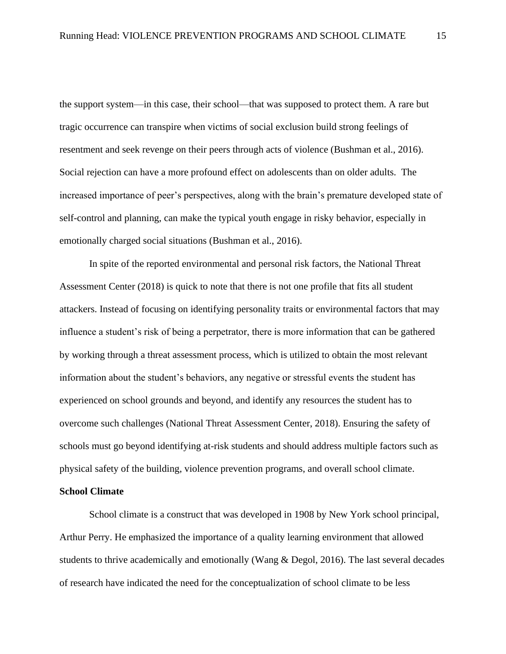the support system—in this case, their school—that was supposed to protect them. A rare but tragic occurrence can transpire when victims of social exclusion build strong feelings of resentment and seek revenge on their peers through acts of violence (Bushman et al., 2016). Social rejection can have a more profound effect on adolescents than on older adults. The increased importance of peer's perspectives, along with the brain's premature developed state of self-control and planning, can make the typical youth engage in risky behavior, especially in emotionally charged social situations (Bushman et al., 2016).

In spite of the reported environmental and personal risk factors, the National Threat Assessment Center (2018) is quick to note that there is not one profile that fits all student attackers. Instead of focusing on identifying personality traits or environmental factors that may influence a student's risk of being a perpetrator, there is more information that can be gathered by working through a threat assessment process, which is utilized to obtain the most relevant information about the student's behaviors, any negative or stressful events the student has experienced on school grounds and beyond, and identify any resources the student has to overcome such challenges (National Threat Assessment Center, 2018). Ensuring the safety of schools must go beyond identifying at-risk students and should address multiple factors such as physical safety of the building, violence prevention programs, and overall school climate.

## <span id="page-20-0"></span>**School Climate**

School climate is a construct that was developed in 1908 by New York school principal, Arthur Perry. He emphasized the importance of a quality learning environment that allowed students to thrive academically and emotionally (Wang & Degol, 2016). The last several decades of research have indicated the need for the conceptualization of school climate to be less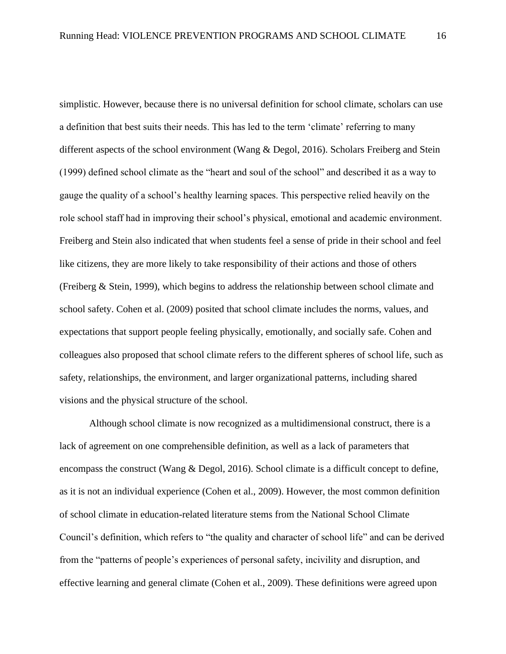simplistic. However, because there is no universal definition for school climate, scholars can use a definition that best suits their needs. This has led to the term 'climate' referring to many different aspects of the school environment (Wang & Degol, 2016). Scholars Freiberg and Stein (1999) defined school climate as the "heart and soul of the school" and described it as a way to gauge the quality of a school's healthy learning spaces. This perspective relied heavily on the role school staff had in improving their school's physical, emotional and academic environment. Freiberg and Stein also indicated that when students feel a sense of pride in their school and feel like citizens, they are more likely to take responsibility of their actions and those of others (Freiberg & Stein, 1999), which begins to address the relationship between school climate and school safety. Cohen et al. (2009) posited that school climate includes the norms, values, and expectations that support people feeling physically, emotionally, and socially safe. Cohen and colleagues also proposed that school climate refers to the different spheres of school life, such as safety, relationships, the environment, and larger organizational patterns, including shared visions and the physical structure of the school.

Although school climate is now recognized as a multidimensional construct, there is a lack of agreement on one comprehensible definition, as well as a lack of parameters that encompass the construct (Wang & Degol, 2016). School climate is a difficult concept to define, as it is not an individual experience (Cohen et al., 2009). However, the most common definition of school climate in education-related literature stems from the National School Climate Council's definition, which refers to "the quality and character of school life" and can be derived from the "patterns of people's experiences of personal safety, incivility and disruption, and effective learning and general climate (Cohen et al., 2009). These definitions were agreed upon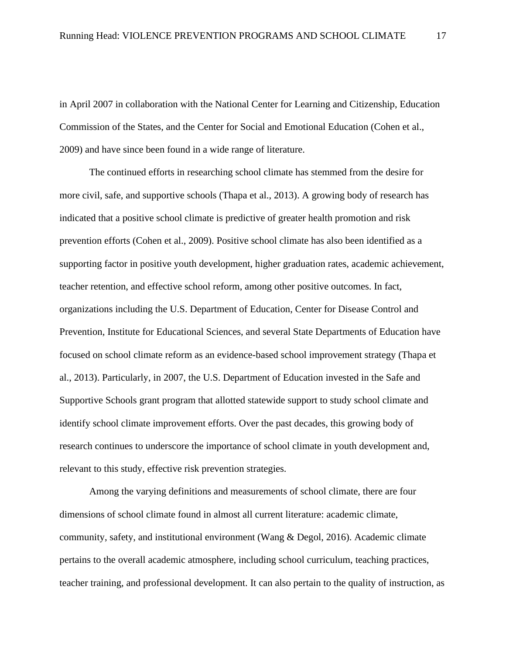in April 2007 in collaboration with the National Center for Learning and Citizenship, Education Commission of the States, and the Center for Social and Emotional Education (Cohen et al., 2009) and have since been found in a wide range of literature.

The continued efforts in researching school climate has stemmed from the desire for more civil, safe, and supportive schools (Thapa et al., 2013). A growing body of research has indicated that a positive school climate is predictive of greater health promotion and risk prevention efforts (Cohen et al., 2009). Positive school climate has also been identified as a supporting factor in positive youth development, higher graduation rates, academic achievement, teacher retention, and effective school reform, among other positive outcomes. In fact, organizations including the U.S. Department of Education, Center for Disease Control and Prevention, Institute for Educational Sciences, and several State Departments of Education have focused on school climate reform as an evidence-based school improvement strategy (Thapa et al., 2013). Particularly, in 2007, the U.S. Department of Education invested in the Safe and Supportive Schools grant program that allotted statewide support to study school climate and identify school climate improvement efforts. Over the past decades, this growing body of research continues to underscore the importance of school climate in youth development and, relevant to this study, effective risk prevention strategies.

Among the varying definitions and measurements of school climate, there are four dimensions of school climate found in almost all current literature: academic climate, community, safety, and institutional environment (Wang & Degol, 2016). Academic climate pertains to the overall academic atmosphere, including school curriculum, teaching practices, teacher training, and professional development. It can also pertain to the quality of instruction, as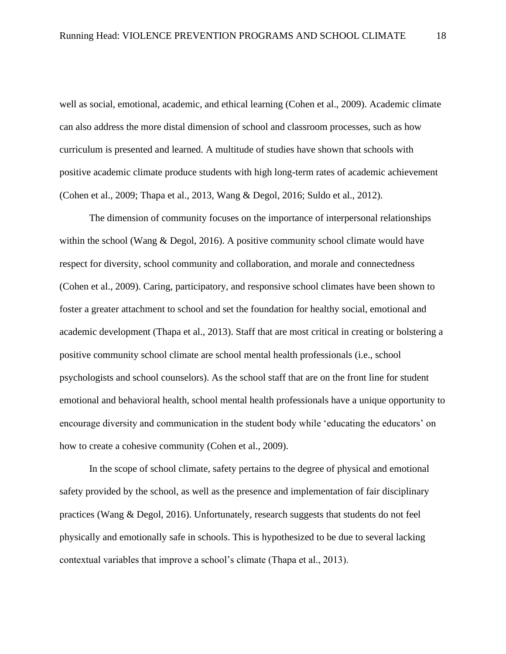well as social, emotional, academic, and ethical learning (Cohen et al., 2009). Academic climate can also address the more distal dimension of school and classroom processes, such as how curriculum is presented and learned. A multitude of studies have shown that schools with positive academic climate produce students with high long-term rates of academic achievement (Cohen et al., 2009; Thapa et al., 2013, Wang & Degol, 2016; Suldo et al., 2012).

The dimension of community focuses on the importance of interpersonal relationships within the school (Wang & Degol, 2016). A positive community school climate would have respect for diversity, school community and collaboration, and morale and connectedness (Cohen et al., 2009). Caring, participatory, and responsive school climates have been shown to foster a greater attachment to school and set the foundation for healthy social, emotional and academic development (Thapa et al., 2013). Staff that are most critical in creating or bolstering a positive community school climate are school mental health professionals (i.e., school psychologists and school counselors). As the school staff that are on the front line for student emotional and behavioral health, school mental health professionals have a unique opportunity to encourage diversity and communication in the student body while 'educating the educators' on how to create a cohesive community (Cohen et al., 2009).

In the scope of school climate, safety pertains to the degree of physical and emotional safety provided by the school, as well as the presence and implementation of fair disciplinary practices (Wang & Degol, 2016). Unfortunately, research suggests that students do not feel physically and emotionally safe in schools. This is hypothesized to be due to several lacking contextual variables that improve a school's climate (Thapa et al., 2013).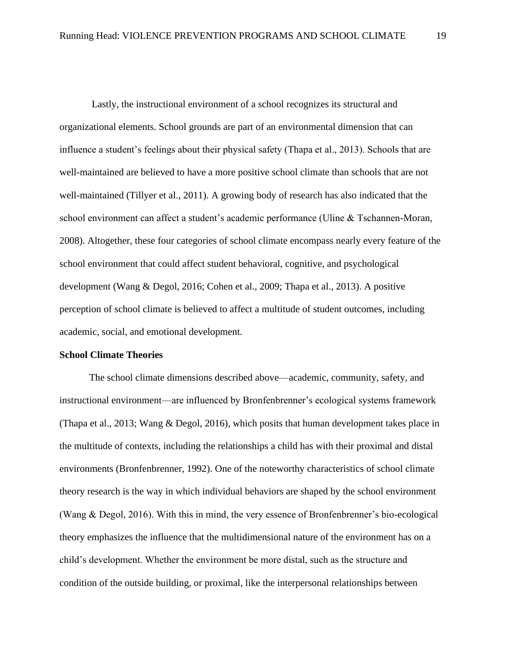Lastly, the instructional environment of a school recognizes its structural and organizational elements. School grounds are part of an environmental dimension that can influence a student's feelings about their physical safety (Thapa et al., 2013). Schools that are well-maintained are believed to have a more positive school climate than schools that are not well-maintained (Tillyer et al., 2011). A growing body of research has also indicated that the school environment can affect a student's academic performance (Uline & Tschannen-Moran, 2008). Altogether, these four categories of school climate encompass nearly every feature of the school environment that could affect student behavioral, cognitive, and psychological development (Wang & Degol, 2016; Cohen et al., 2009; Thapa et al., 2013). A positive perception of school climate is believed to affect a multitude of student outcomes, including academic, social, and emotional development.

## <span id="page-24-0"></span>**School Climate Theories**

The school climate dimensions described above—academic, community, safety, and instructional environment—are influenced by Bronfenbrenner's ecological systems framework (Thapa et al., 2013; Wang & Degol, 2016), which posits that human development takes place in the multitude of contexts, including the relationships a child has with their proximal and distal environments (Bronfenbrenner, 1992). One of the noteworthy characteristics of school climate theory research is the way in which individual behaviors are shaped by the school environment (Wang & Degol, 2016). With this in mind, the very essence of Bronfenbrenner's bio-ecological theory emphasizes the influence that the multidimensional nature of the environment has on a child's development. Whether the environment be more distal, such as the structure and condition of the outside building, or proximal, like the interpersonal relationships between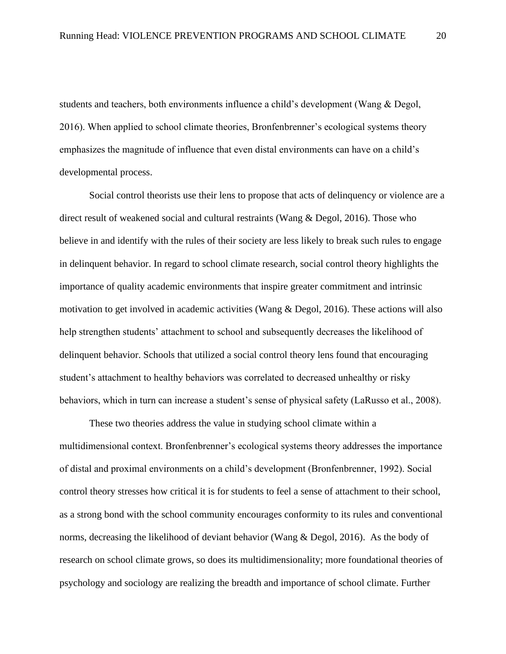students and teachers, both environments influence a child's development (Wang & Degol, 2016). When applied to school climate theories, Bronfenbrenner's ecological systems theory emphasizes the magnitude of influence that even distal environments can have on a child's developmental process.

Social control theorists use their lens to propose that acts of delinquency or violence are a direct result of weakened social and cultural restraints (Wang & Degol, 2016). Those who believe in and identify with the rules of their society are less likely to break such rules to engage in delinquent behavior. In regard to school climate research, social control theory highlights the importance of quality academic environments that inspire greater commitment and intrinsic motivation to get involved in academic activities (Wang & Degol, 2016). These actions will also help strengthen students' attachment to school and subsequently decreases the likelihood of delinquent behavior. Schools that utilized a social control theory lens found that encouraging student's attachment to healthy behaviors was correlated to decreased unhealthy or risky behaviors, which in turn can increase a student's sense of physical safety (LaRusso et al., 2008).

These two theories address the value in studying school climate within a multidimensional context. Bronfenbrenner's ecological systems theory addresses the importance of distal and proximal environments on a child's development (Bronfenbrenner, 1992). Social control theory stresses how critical it is for students to feel a sense of attachment to their school, as a strong bond with the school community encourages conformity to its rules and conventional norms, decreasing the likelihood of deviant behavior (Wang & Degol, 2016). As the body of research on school climate grows, so does its multidimensionality; more foundational theories of psychology and sociology are realizing the breadth and importance of school climate. Further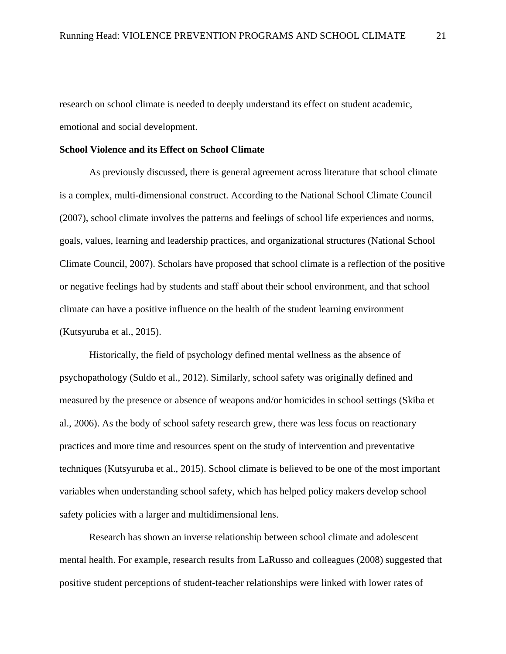research on school climate is needed to deeply understand its effect on student academic, emotional and social development.

## <span id="page-26-0"></span>**School Violence and its Effect on School Climate**

As previously discussed, there is general agreement across literature that school climate is a complex, multi-dimensional construct. According to the National School Climate Council (2007), school climate involves the patterns and feelings of school life experiences and norms, goals, values, learning and leadership practices, and organizational structures (National School Climate Council, 2007). Scholars have proposed that school climate is a reflection of the positive or negative feelings had by students and staff about their school environment, and that school climate can have a positive influence on the health of the student learning environment (Kutsyuruba et al., 2015).

Historically, the field of psychology defined mental wellness as the absence of psychopathology (Suldo et al., 2012). Similarly, school safety was originally defined and measured by the presence or absence of weapons and/or homicides in school settings (Skiba et al., 2006). As the body of school safety research grew, there was less focus on reactionary practices and more time and resources spent on the study of intervention and preventative techniques (Kutsyuruba et al., 2015). School climate is believed to be one of the most important variables when understanding school safety, which has helped policy makers develop school safety policies with a larger and multidimensional lens.

Research has shown an inverse relationship between school climate and adolescent mental health. For example, research results from LaRusso and colleagues (2008) suggested that positive student perceptions of student-teacher relationships were linked with lower rates of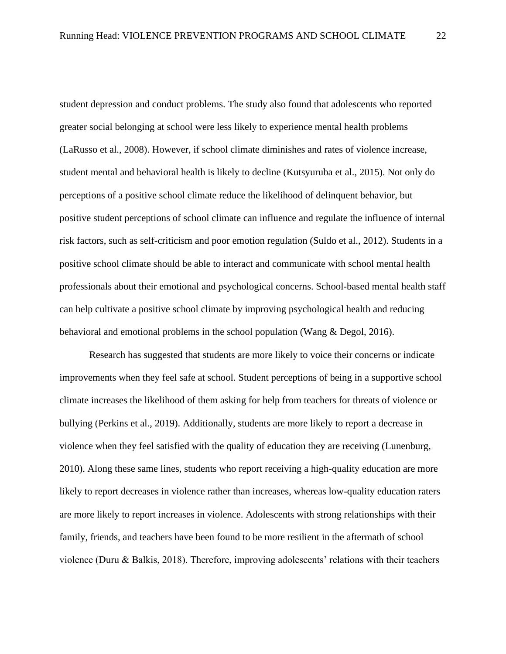student depression and conduct problems. The study also found that adolescents who reported greater social belonging at school were less likely to experience mental health problems (LaRusso et al., 2008). However, if school climate diminishes and rates of violence increase, student mental and behavioral health is likely to decline (Kutsyuruba et al., 2015). Not only do perceptions of a positive school climate reduce the likelihood of delinquent behavior, but positive student perceptions of school climate can influence and regulate the influence of internal risk factors, such as self-criticism and poor emotion regulation (Suldo et al., 2012). Students in a positive school climate should be able to interact and communicate with school mental health professionals about their emotional and psychological concerns. School-based mental health staff can help cultivate a positive school climate by improving psychological health and reducing behavioral and emotional problems in the school population (Wang & Degol, 2016).

Research has suggested that students are more likely to voice their concerns or indicate improvements when they feel safe at school. Student perceptions of being in a supportive school climate increases the likelihood of them asking for help from teachers for threats of violence or bullying (Perkins et al., 2019). Additionally, students are more likely to report a decrease in violence when they feel satisfied with the quality of education they are receiving (Lunenburg, 2010). Along these same lines, students who report receiving a high-quality education are more likely to report decreases in violence rather than increases, whereas low-quality education raters are more likely to report increases in violence. Adolescents with strong relationships with their family, friends, and teachers have been found to be more resilient in the aftermath of school violence (Duru & Balkis, 2018). Therefore, improving adolescents' relations with their teachers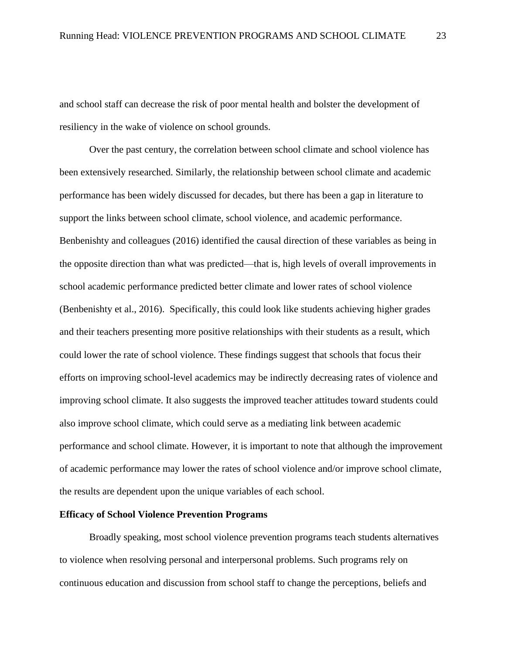and school staff can decrease the risk of poor mental health and bolster the development of resiliency in the wake of violence on school grounds.

Over the past century, the correlation between school climate and school violence has been extensively researched. Similarly, the relationship between school climate and academic performance has been widely discussed for decades, but there has been a gap in literature to support the links between school climate, school violence, and academic performance. Benbenishty and colleagues (2016) identified the causal direction of these variables as being in the opposite direction than what was predicted—that is, high levels of overall improvements in school academic performance predicted better climate and lower rates of school violence (Benbenishty et al., 2016). Specifically, this could look like students achieving higher grades and their teachers presenting more positive relationships with their students as a result, which could lower the rate of school violence. These findings suggest that schools that focus their efforts on improving school-level academics may be indirectly decreasing rates of violence and improving school climate. It also suggests the improved teacher attitudes toward students could also improve school climate, which could serve as a mediating link between academic performance and school climate. However, it is important to note that although the improvement of academic performance may lower the rates of school violence and/or improve school climate, the results are dependent upon the unique variables of each school.

## **Efficacy of School Violence Prevention Programs**

Broadly speaking, most school violence prevention programs teach students alternatives to violence when resolving personal and interpersonal problems. Such programs rely on continuous education and discussion from school staff to change the perceptions, beliefs and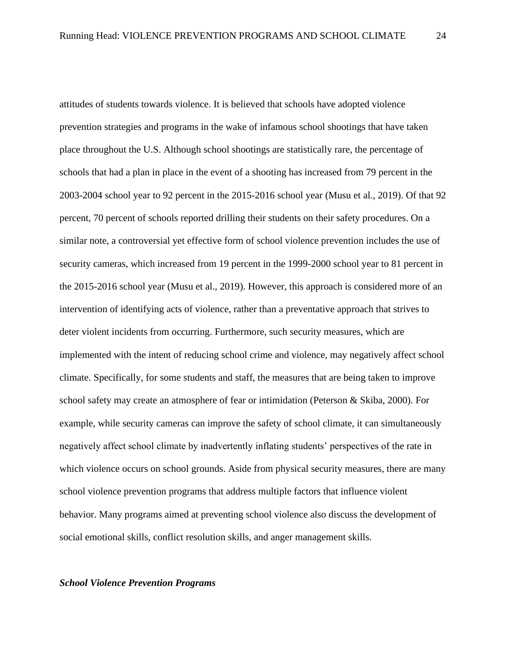attitudes of students towards violence. It is believed that schools have adopted violence prevention strategies and programs in the wake of infamous school shootings that have taken place throughout the U.S. Although school shootings are statistically rare, the percentage of schools that had a plan in place in the event of a shooting has increased from 79 percent in the 2003-2004 school year to 92 percent in the 2015-2016 school year (Musu et al., 2019). Of that 92 percent, 70 percent of schools reported drilling their students on their safety procedures. On a similar note, a controversial yet effective form of school violence prevention includes the use of security cameras, which increased from 19 percent in the 1999-2000 school year to 81 percent in the 2015-2016 school year (Musu et al., 2019). However, this approach is considered more of an intervention of identifying acts of violence, rather than a preventative approach that strives to deter violent incidents from occurring. Furthermore, such security measures, which are implemented with the intent of reducing school crime and violence, may negatively affect school climate. Specifically, for some students and staff, the measures that are being taken to improve school safety may create an atmosphere of fear or intimidation (Peterson & Skiba, 2000). For example, while security cameras can improve the safety of school climate, it can simultaneously negatively affect school climate by inadvertently inflating students' perspectives of the rate in which violence occurs on school grounds. Aside from physical security measures, there are many school violence prevention programs that address multiple factors that influence violent behavior. Many programs aimed at preventing school violence also discuss the development of social emotional skills, conflict resolution skills, and anger management skills.

#### <span id="page-29-0"></span>*School Violence Prevention Programs*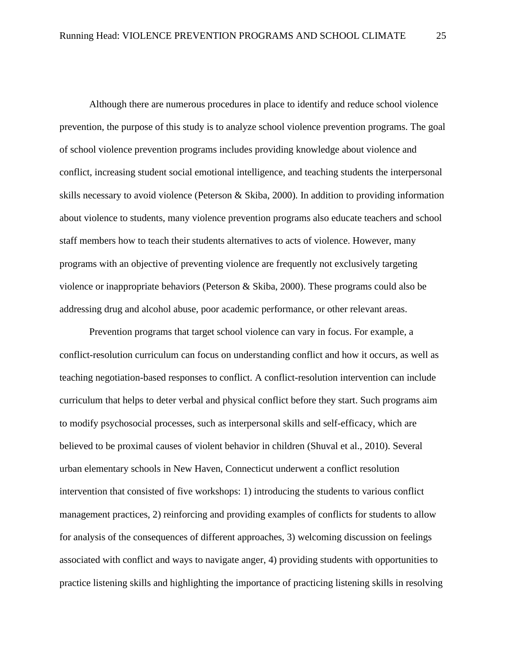Although there are numerous procedures in place to identify and reduce school violence prevention, the purpose of this study is to analyze school violence prevention programs. The goal of school violence prevention programs includes providing knowledge about violence and conflict, increasing student social emotional intelligence, and teaching students the interpersonal skills necessary to avoid violence (Peterson & Skiba, 2000). In addition to providing information about violence to students, many violence prevention programs also educate teachers and school staff members how to teach their students alternatives to acts of violence. However, many programs with an objective of preventing violence are frequently not exclusively targeting violence or inappropriate behaviors (Peterson & Skiba, 2000). These programs could also be addressing drug and alcohol abuse, poor academic performance, or other relevant areas.

Prevention programs that target school violence can vary in focus. For example, a conflict-resolution curriculum can focus on understanding conflict and how it occurs, as well as teaching negotiation-based responses to conflict. A conflict-resolution intervention can include curriculum that helps to deter verbal and physical conflict before they start. Such programs aim to modify psychosocial processes, such as interpersonal skills and self-efficacy, which are believed to be proximal causes of violent behavior in children (Shuval et al., 2010). Several urban elementary schools in New Haven, Connecticut underwent a conflict resolution intervention that consisted of five workshops: 1) introducing the students to various conflict management practices, 2) reinforcing and providing examples of conflicts for students to allow for analysis of the consequences of different approaches, 3) welcoming discussion on feelings associated with conflict and ways to navigate anger, 4) providing students with opportunities to practice listening skills and highlighting the importance of practicing listening skills in resolving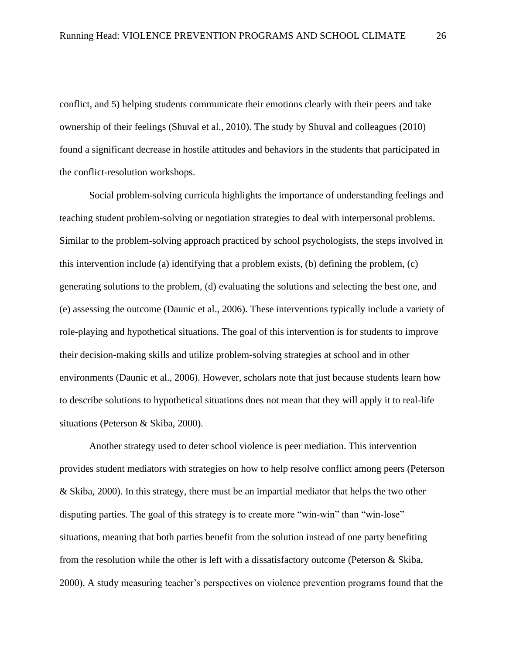conflict, and 5) helping students communicate their emotions clearly with their peers and take ownership of their feelings (Shuval et al., 2010). The study by Shuval and colleagues (2010) found a significant decrease in hostile attitudes and behaviors in the students that participated in the conflict-resolution workshops.

Social problem-solving curricula highlights the importance of understanding feelings and teaching student problem-solving or negotiation strategies to deal with interpersonal problems. Similar to the problem-solving approach practiced by school psychologists, the steps involved in this intervention include (a) identifying that a problem exists, (b) defining the problem, (c) generating solutions to the problem, (d) evaluating the solutions and selecting the best one, and (e) assessing the outcome (Daunic et al., 2006). These interventions typically include a variety of role-playing and hypothetical situations. The goal of this intervention is for students to improve their decision-making skills and utilize problem-solving strategies at school and in other environments (Daunic et al., 2006). However, scholars note that just because students learn how to describe solutions to hypothetical situations does not mean that they will apply it to real-life situations (Peterson & Skiba, 2000).

Another strategy used to deter school violence is peer mediation. This intervention provides student mediators with strategies on how to help resolve conflict among peers (Peterson & Skiba, 2000). In this strategy, there must be an impartial mediator that helps the two other disputing parties. The goal of this strategy is to create more "win-win" than "win-lose" situations, meaning that both parties benefit from the solution instead of one party benefiting from the resolution while the other is left with a dissatisfactory outcome (Peterson & Skiba, 2000). A study measuring teacher's perspectives on violence prevention programs found that the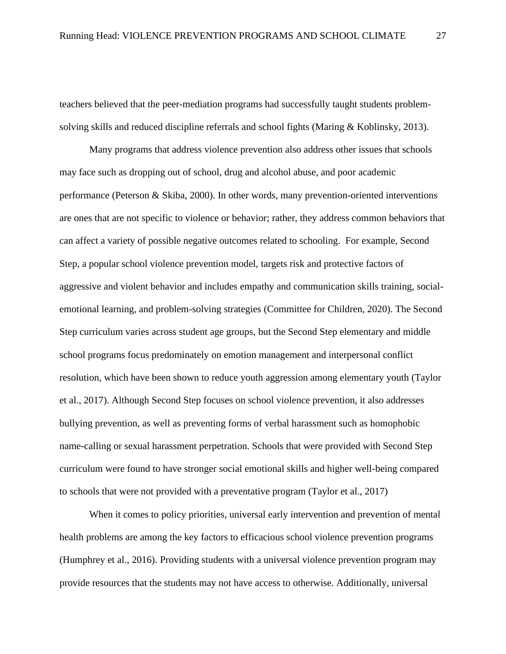teachers believed that the peer-mediation programs had successfully taught students problemsolving skills and reduced discipline referrals and school fights (Maring & Koblinsky, 2013).

Many programs that address violence prevention also address other issues that schools may face such as dropping out of school, drug and alcohol abuse, and poor academic performance (Peterson & Skiba, 2000). In other words, many prevention-oriented interventions are ones that are not specific to violence or behavior; rather, they address common behaviors that can affect a variety of possible negative outcomes related to schooling. For example, Second Step, a popular school violence prevention model, targets risk and protective factors of aggressive and violent behavior and includes empathy and communication skills training, socialemotional learning, and problem-solving strategies (Committee for Children, 2020). The Second Step curriculum varies across student age groups, but the Second Step elementary and middle school programs focus predominately on emotion management and interpersonal conflict resolution, which have been shown to reduce youth aggression among elementary youth (Taylor et al., 2017). Although Second Step focuses on school violence prevention, it also addresses bullying prevention, as well as preventing forms of verbal harassment such as homophobic name-calling or sexual harassment perpetration. Schools that were provided with Second Step curriculum were found to have stronger social emotional skills and higher well-being compared to schools that were not provided with a preventative program (Taylor et al., 2017)

When it comes to policy priorities, universal early intervention and prevention of mental health problems are among the key factors to efficacious school violence prevention programs (Humphrey et al., 2016). Providing students with a universal violence prevention program may provide resources that the students may not have access to otherwise. Additionally, universal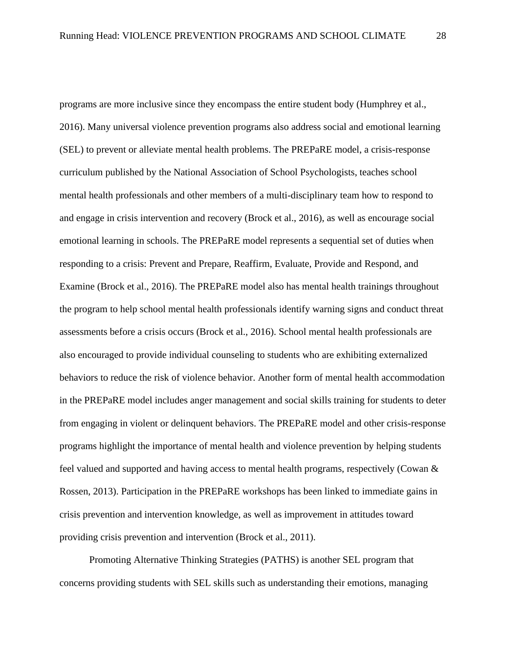programs are more inclusive since they encompass the entire student body (Humphrey et al., 2016). Many universal violence prevention programs also address social and emotional learning (SEL) to prevent or alleviate mental health problems. The PREPaRE model, a crisis-response curriculum published by the National Association of School Psychologists, teaches school mental health professionals and other members of a multi-disciplinary team how to respond to and engage in crisis intervention and recovery (Brock et al., 2016), as well as encourage social emotional learning in schools. The PREPaRE model represents a sequential set of duties when responding to a crisis: Prevent and Prepare, Reaffirm, Evaluate, Provide and Respond, and Examine (Brock et al., 2016). The PREPaRE model also has mental health trainings throughout the program to help school mental health professionals identify warning signs and conduct threat assessments before a crisis occurs (Brock et al., 2016). School mental health professionals are also encouraged to provide individual counseling to students who are exhibiting externalized behaviors to reduce the risk of violence behavior. Another form of mental health accommodation in the PREPaRE model includes anger management and social skills training for students to deter from engaging in violent or delinquent behaviors. The PREPaRE model and other crisis-response programs highlight the importance of mental health and violence prevention by helping students feel valued and supported and having access to mental health programs, respectively (Cowan & Rossen, 2013). Participation in the PREPaRE workshops has been linked to immediate gains in crisis prevention and intervention knowledge, as well as improvement in attitudes toward providing crisis prevention and intervention (Brock et al., 2011).

Promoting Alternative Thinking Strategies (PATHS) is another SEL program that concerns providing students with SEL skills such as understanding their emotions, managing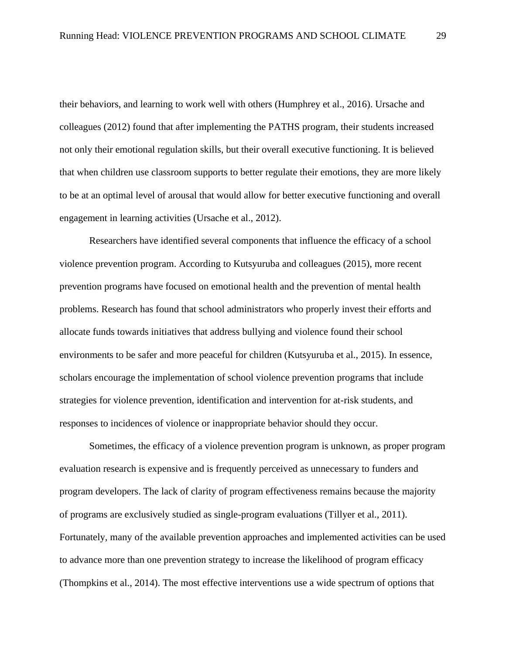their behaviors, and learning to work well with others (Humphrey et al., 2016). Ursache and colleagues (2012) found that after implementing the PATHS program, their students increased not only their emotional regulation skills, but their overall executive functioning. It is believed that when children use classroom supports to better regulate their emotions, they are more likely to be at an optimal level of arousal that would allow for better executive functioning and overall engagement in learning activities (Ursache et al., 2012).

Researchers have identified several components that influence the efficacy of a school violence prevention program. According to Kutsyuruba and colleagues (2015), more recent prevention programs have focused on emotional health and the prevention of mental health problems. Research has found that school administrators who properly invest their efforts and allocate funds towards initiatives that address bullying and violence found their school environments to be safer and more peaceful for children (Kutsyuruba et al., 2015). In essence, scholars encourage the implementation of school violence prevention programs that include strategies for violence prevention, identification and intervention for at-risk students, and responses to incidences of violence or inappropriate behavior should they occur.

Sometimes, the efficacy of a violence prevention program is unknown, as proper program evaluation research is expensive and is frequently perceived as unnecessary to funders and program developers. The lack of clarity of program effectiveness remains because the majority of programs are exclusively studied as single-program evaluations (Tillyer et al., 2011). Fortunately, many of the available prevention approaches and implemented activities can be used to advance more than one prevention strategy to increase the likelihood of program efficacy (Thompkins et al., 2014). The most effective interventions use a wide spectrum of options that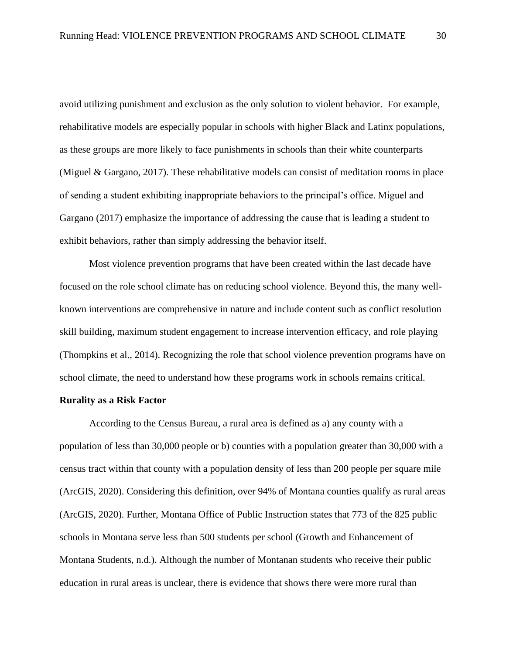avoid utilizing punishment and exclusion as the only solution to violent behavior. For example, rehabilitative models are especially popular in schools with higher Black and Latinx populations, as these groups are more likely to face punishments in schools than their white counterparts (Miguel & Gargano, 2017). These rehabilitative models can consist of meditation rooms in place of sending a student exhibiting inappropriate behaviors to the principal's office. Miguel and Gargano (2017) emphasize the importance of addressing the cause that is leading a student to exhibit behaviors, rather than simply addressing the behavior itself.

Most violence prevention programs that have been created within the last decade have focused on the role school climate has on reducing school violence. Beyond this, the many wellknown interventions are comprehensive in nature and include content such as conflict resolution skill building, maximum student engagement to increase intervention efficacy, and role playing (Thompkins et al., 2014). Recognizing the role that school violence prevention programs have on school climate, the need to understand how these programs work in schools remains critical.

## <span id="page-35-0"></span>**Rurality as a Risk Factor**

According to the Census Bureau, a rural area is defined as a) any county with a population of less than 30,000 people or b) counties with a population greater than 30,000 with a census tract within that county with a population density of less than 200 people per square mile (ArcGIS, 2020). Considering this definition, over 94% of Montana counties qualify as rural areas (ArcGIS, 2020). Further, Montana Office of Public Instruction states that 773 of the 825 public schools in Montana serve less than 500 students per school (Growth and Enhancement of Montana Students, n.d.). Although the number of Montanan students who receive their public education in rural areas is unclear, there is evidence that shows there were more rural than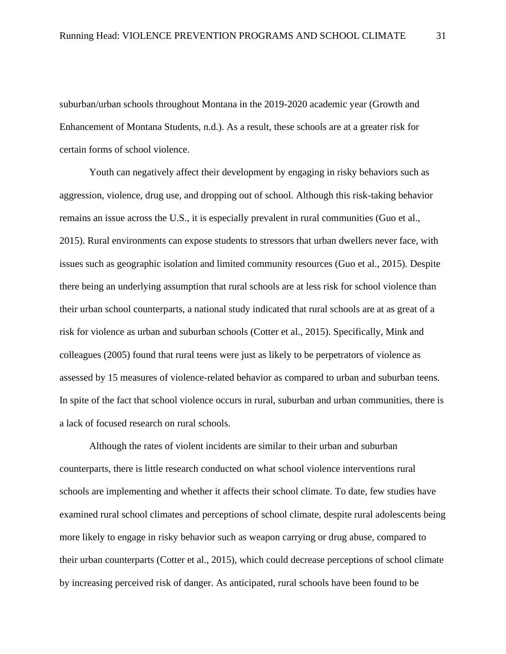suburban/urban schools throughout Montana in the 2019-2020 academic year (Growth and Enhancement of Montana Students, n.d.). As a result, these schools are at a greater risk for certain forms of school violence.

Youth can negatively affect their development by engaging in risky behaviors such as aggression, violence, drug use, and dropping out of school. Although this risk-taking behavior remains an issue across the U.S., it is especially prevalent in rural communities (Guo et al., 2015). Rural environments can expose students to stressors that urban dwellers never face, with issues such as geographic isolation and limited community resources (Guo et al., 2015). Despite there being an underlying assumption that rural schools are at less risk for school violence than their urban school counterparts, a national study indicated that rural schools are at as great of a risk for violence as urban and suburban schools (Cotter et al., 2015). Specifically, Mink and colleagues (2005) found that rural teens were just as likely to be perpetrators of violence as assessed by 15 measures of violence-related behavior as compared to urban and suburban teens. In spite of the fact that school violence occurs in rural, suburban and urban communities, there is a lack of focused research on rural schools.

Although the rates of violent incidents are similar to their urban and suburban counterparts, there is little research conducted on what school violence interventions rural schools are implementing and whether it affects their school climate. To date, few studies have examined rural school climates and perceptions of school climate, despite rural adolescents being more likely to engage in risky behavior such as weapon carrying or drug abuse, compared to their urban counterparts (Cotter et al., 2015), which could decrease perceptions of school climate by increasing perceived risk of danger. As anticipated, rural schools have been found to be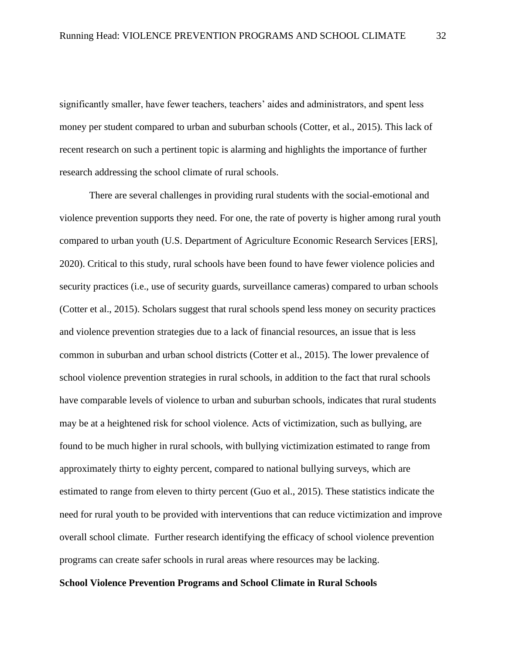significantly smaller, have fewer teachers, teachers' aides and administrators, and spent less money per student compared to urban and suburban schools (Cotter, et al., 2015). This lack of recent research on such a pertinent topic is alarming and highlights the importance of further research addressing the school climate of rural schools.

There are several challenges in providing rural students with the social-emotional and violence prevention supports they need. For one, the rate of poverty is higher among rural youth compared to urban youth (U.S. Department of Agriculture Economic Research Services [ERS], 2020). Critical to this study, rural schools have been found to have fewer violence policies and security practices (i.e., use of security guards, surveillance cameras) compared to urban schools (Cotter et al., 2015). Scholars suggest that rural schools spend less money on security practices and violence prevention strategies due to a lack of financial resources, an issue that is less common in suburban and urban school districts (Cotter et al., 2015). The lower prevalence of school violence prevention strategies in rural schools, in addition to the fact that rural schools have comparable levels of violence to urban and suburban schools, indicates that rural students may be at a heightened risk for school violence. Acts of victimization, such as bullying, are found to be much higher in rural schools, with bullying victimization estimated to range from approximately thirty to eighty percent, compared to national bullying surveys, which are estimated to range from eleven to thirty percent (Guo et al., 2015). These statistics indicate the need for rural youth to be provided with interventions that can reduce victimization and improve overall school climate. Further research identifying the efficacy of school violence prevention programs can create safer schools in rural areas where resources may be lacking.

#### **School Violence Prevention Programs and School Climate in Rural Schools**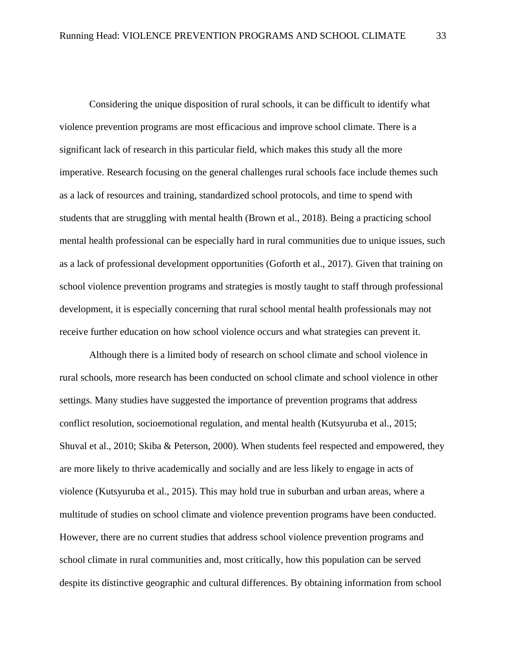Considering the unique disposition of rural schools, it can be difficult to identify what violence prevention programs are most efficacious and improve school climate. There is a significant lack of research in this particular field, which makes this study all the more imperative. Research focusing on the general challenges rural schools face include themes such as a lack of resources and training, standardized school protocols, and time to spend with students that are struggling with mental health (Brown et al., 2018). Being a practicing school mental health professional can be especially hard in rural communities due to unique issues, such as a lack of professional development opportunities (Goforth et al., 2017). Given that training on school violence prevention programs and strategies is mostly taught to staff through professional development, it is especially concerning that rural school mental health professionals may not receive further education on how school violence occurs and what strategies can prevent it.

Although there is a limited body of research on school climate and school violence in rural schools, more research has been conducted on school climate and school violence in other settings. Many studies have suggested the importance of prevention programs that address conflict resolution, socioemotional regulation, and mental health (Kutsyuruba et al., 2015; Shuval et al., 2010; Skiba & Peterson, 2000). When students feel respected and empowered, they are more likely to thrive academically and socially and are less likely to engage in acts of violence (Kutsyuruba et al., 2015). This may hold true in suburban and urban areas, where a multitude of studies on school climate and violence prevention programs have been conducted. However, there are no current studies that address school violence prevention programs and school climate in rural communities and, most critically, how this population can be served despite its distinctive geographic and cultural differences. By obtaining information from school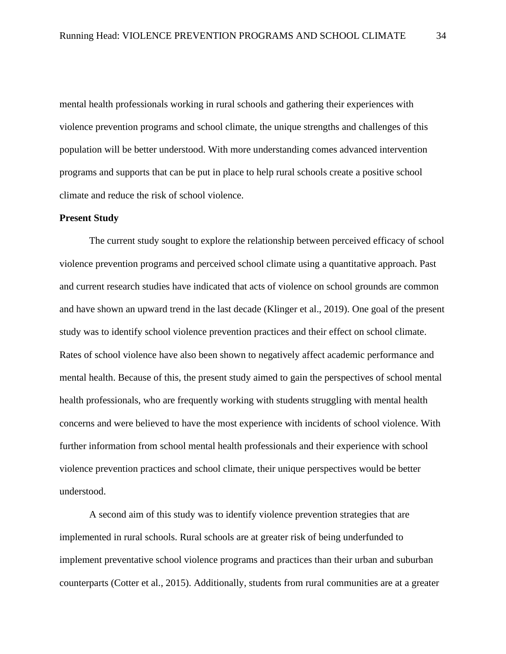mental health professionals working in rural schools and gathering their experiences with violence prevention programs and school climate, the unique strengths and challenges of this population will be better understood. With more understanding comes advanced intervention programs and supports that can be put in place to help rural schools create a positive school climate and reduce the risk of school violence.

## **Present Study**

The current study sought to explore the relationship between perceived efficacy of school violence prevention programs and perceived school climate using a quantitative approach. Past and current research studies have indicated that acts of violence on school grounds are common and have shown an upward trend in the last decade (Klinger et al., 2019). One goal of the present study was to identify school violence prevention practices and their effect on school climate. Rates of school violence have also been shown to negatively affect academic performance and mental health. Because of this, the present study aimed to gain the perspectives of school mental health professionals, who are frequently working with students struggling with mental health concerns and were believed to have the most experience with incidents of school violence. With further information from school mental health professionals and their experience with school violence prevention practices and school climate, their unique perspectives would be better understood.

A second aim of this study was to identify violence prevention strategies that are implemented in rural schools. Rural schools are at greater risk of being underfunded to implement preventative school violence programs and practices than their urban and suburban counterparts (Cotter et al., 2015). Additionally, students from rural communities are at a greater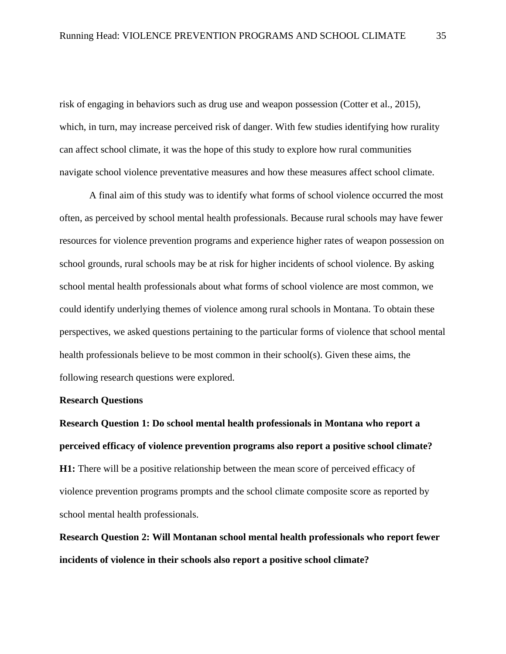risk of engaging in behaviors such as drug use and weapon possession (Cotter et al., 2015), which, in turn, may increase perceived risk of danger. With few studies identifying how rurality can affect school climate, it was the hope of this study to explore how rural communities navigate school violence preventative measures and how these measures affect school climate.

A final aim of this study was to identify what forms of school violence occurred the most often, as perceived by school mental health professionals. Because rural schools may have fewer resources for violence prevention programs and experience higher rates of weapon possession on school grounds, rural schools may be at risk for higher incidents of school violence. By asking school mental health professionals about what forms of school violence are most common, we could identify underlying themes of violence among rural schools in Montana. To obtain these perspectives, we asked questions pertaining to the particular forms of violence that school mental health professionals believe to be most common in their school(s). Given these aims, the following research questions were explored.

# **Research Questions**

**Research Question 1: Do school mental health professionals in Montana who report a perceived efficacy of violence prevention programs also report a positive school climate? H1:** There will be a positive relationship between the mean score of perceived efficacy of violence prevention programs prompts and the school climate composite score as reported by school mental health professionals.

**Research Question 2: Will Montanan school mental health professionals who report fewer incidents of violence in their schools also report a positive school climate?**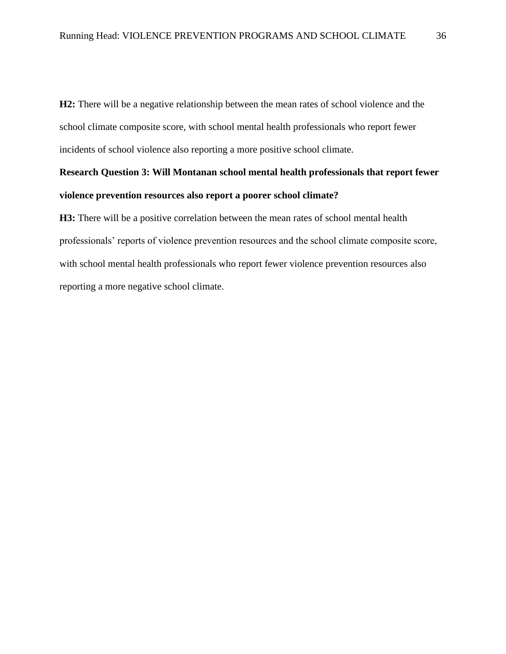**H2:** There will be a negative relationship between the mean rates of school violence and the school climate composite score, with school mental health professionals who report fewer incidents of school violence also reporting a more positive school climate.

# **Research Question 3: Will Montanan school mental health professionals that report fewer violence prevention resources also report a poorer school climate?**

**H3:** There will be a positive correlation between the mean rates of school mental health professionals' reports of violence prevention resources and the school climate composite score, with school mental health professionals who report fewer violence prevention resources also reporting a more negative school climate.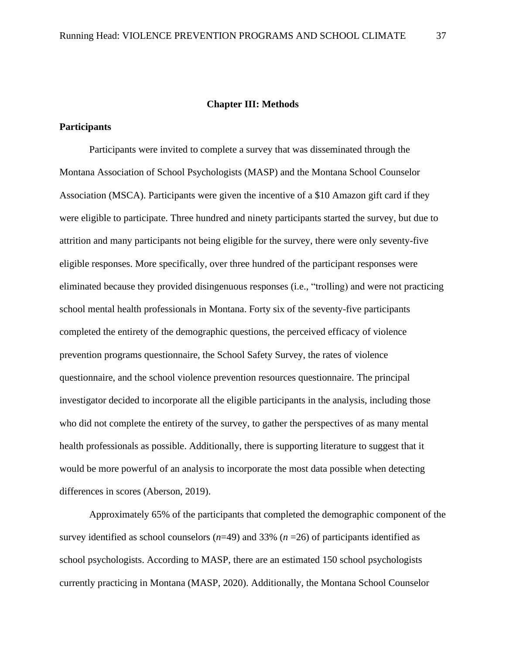#### **Chapter III: Methods**

# **Participants**

Participants were invited to complete a survey that was disseminated through the Montana Association of School Psychologists (MASP) and the Montana School Counselor Association (MSCA). Participants were given the incentive of a \$10 Amazon gift card if they were eligible to participate. Three hundred and ninety participants started the survey, but due to attrition and many participants not being eligible for the survey, there were only seventy-five eligible responses. More specifically, over three hundred of the participant responses were eliminated because they provided disingenuous responses (i.e., "trolling) and were not practicing school mental health professionals in Montana. Forty six of the seventy-five participants completed the entirety of the demographic questions, the perceived efficacy of violence prevention programs questionnaire, the School Safety Survey, the rates of violence questionnaire, and the school violence prevention resources questionnaire. The principal investigator decided to incorporate all the eligible participants in the analysis, including those who did not complete the entirety of the survey, to gather the perspectives of as many mental health professionals as possible. Additionally, there is supporting literature to suggest that it would be more powerful of an analysis to incorporate the most data possible when detecting differences in scores (Aberson, 2019).

Approximately 65% of the participants that completed the demographic component of the survey identified as school counselors (*n*=49) and 33% (*n* =26) of participants identified as school psychologists. According to MASP, there are an estimated 150 school psychologists currently practicing in Montana (MASP, 2020). Additionally, the Montana School Counselor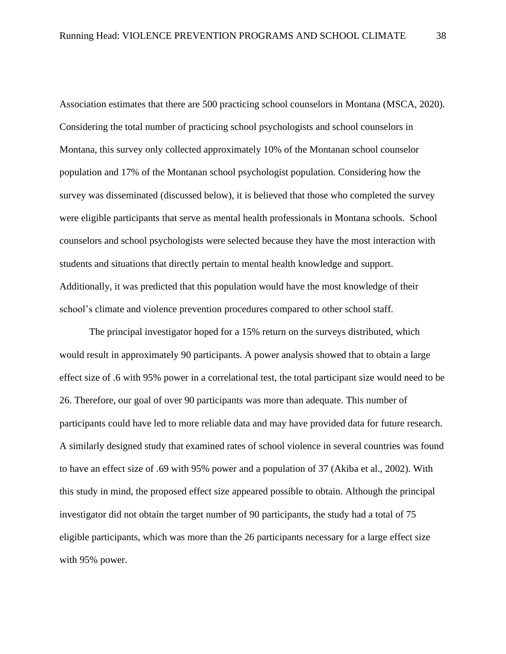Association estimates that there are 500 practicing school counselors in Montana (MSCA, 2020). Considering the total number of practicing school psychologists and school counselors in Montana, this survey only collected approximately 10% of the Montanan school counselor population and 17% of the Montanan school psychologist population. Considering how the survey was disseminated (discussed below), it is believed that those who completed the survey were eligible participants that serve as mental health professionals in Montana schools. School counselors and school psychologists were selected because they have the most interaction with students and situations that directly pertain to mental health knowledge and support. Additionally, it was predicted that this population would have the most knowledge of their school's climate and violence prevention procedures compared to other school staff.

The principal investigator hoped for a 15% return on the surveys distributed, which would result in approximately 90 participants. A power analysis showed that to obtain a large effect size of .6 with 95% power in a correlational test, the total participant size would need to be 26. Therefore, our goal of over 90 participants was more than adequate. This number of participants could have led to more reliable data and may have provided data for future research. A similarly designed study that examined rates of school violence in several countries was found to have an effect size of .69 with 95% power and a population of 37 (Akiba et al., 2002). With this study in mind, the proposed effect size appeared possible to obtain. Although the principal investigator did not obtain the target number of 90 participants, the study had a total of 75 eligible participants, which was more than the 26 participants necessary for a large effect size with 95% power.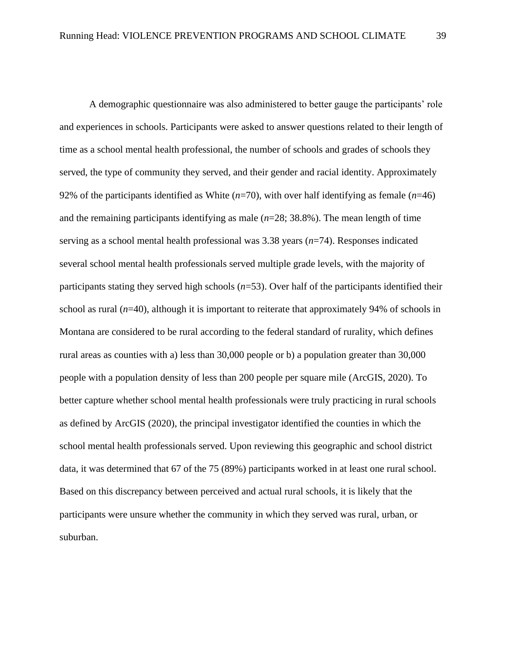A demographic questionnaire was also administered to better gauge the participants' role and experiences in schools. Participants were asked to answer questions related to their length of time as a school mental health professional, the number of schools and grades of schools they served, the type of community they served, and their gender and racial identity. Approximately 92% of the participants identified as White (*n*=70), with over half identifying as female (*n*=46) and the remaining participants identifying as male  $(n=28; 38.8%)$ . The mean length of time serving as a school mental health professional was 3.38 years (*n*=74). Responses indicated several school mental health professionals served multiple grade levels, with the majority of participants stating they served high schools (*n*=53). Over half of the participants identified their school as rural (*n*=40), although it is important to reiterate that approximately 94% of schools in Montana are considered to be rural according to the federal standard of rurality, which defines rural areas as counties with a) less than 30,000 people or b) a population greater than 30,000 people with a population density of less than 200 people per square mile (ArcGIS, 2020). To better capture whether school mental health professionals were truly practicing in rural schools as defined by ArcGIS (2020), the principal investigator identified the counties in which the school mental health professionals served. Upon reviewing this geographic and school district data, it was determined that 67 of the 75 (89%) participants worked in at least one rural school. Based on this discrepancy between perceived and actual rural schools, it is likely that the participants were unsure whether the community in which they served was rural, urban, or suburban.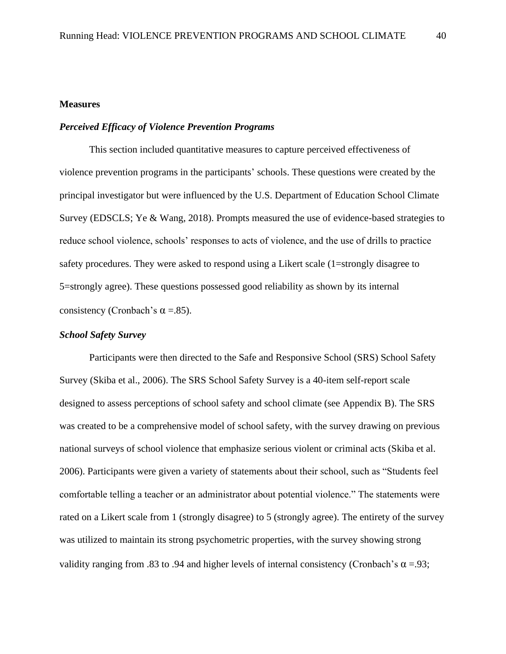# **Measures**

# *Perceived Efficacy of Violence Prevention Programs*

This section included quantitative measures to capture perceived effectiveness of violence prevention programs in the participants' schools. These questions were created by the principal investigator but were influenced by the U.S. Department of Education School Climate Survey (EDSCLS; Ye & Wang, 2018). Prompts measured the use of evidence-based strategies to reduce school violence, schools' responses to acts of violence, and the use of drills to practice safety procedures. They were asked to respond using a Likert scale (1=strongly disagree to 5=strongly agree). These questions possessed good reliability as shown by its internal consistency (Cronbach's  $\alpha$  =.85).

## *School Safety Survey*

Participants were then directed to the Safe and Responsive School (SRS) School Safety Survey (Skiba et al., 2006). The SRS School Safety Survey is a 40-item self-report scale designed to assess perceptions of school safety and school climate (see Appendix B). The SRS was created to be a comprehensive model of school safety, with the survey drawing on previous national surveys of school violence that emphasize serious violent or criminal acts (Skiba et al. 2006). Participants were given a variety of statements about their school, such as "Students feel comfortable telling a teacher or an administrator about potential violence." The statements were rated on a Likert scale from 1 (strongly disagree) to 5 (strongly agree). The entirety of the survey was utilized to maintain its strong psychometric properties, with the survey showing strong validity ranging from .83 to .94 and higher levels of internal consistency (Cronbach's  $\alpha = .93$ ;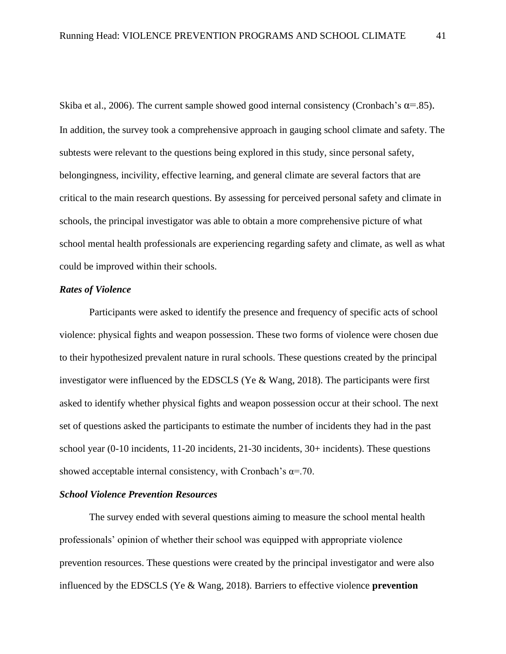Skiba et al., 2006). The current sample showed good internal consistency (Cronbach's  $\alpha$ =.85). In addition, the survey took a comprehensive approach in gauging school climate and safety. The subtests were relevant to the questions being explored in this study, since personal safety, belongingness, incivility, effective learning, and general climate are several factors that are critical to the main research questions. By assessing for perceived personal safety and climate in schools, the principal investigator was able to obtain a more comprehensive picture of what school mental health professionals are experiencing regarding safety and climate, as well as what could be improved within their schools.

#### *Rates of Violence*

Participants were asked to identify the presence and frequency of specific acts of school violence: physical fights and weapon possession. These two forms of violence were chosen due to their hypothesized prevalent nature in rural schools. These questions created by the principal investigator were influenced by the EDSCLS (Ye & Wang, 2018). The participants were first asked to identify whether physical fights and weapon possession occur at their school. The next set of questions asked the participants to estimate the number of incidents they had in the past school year (0-10 incidents, 11-20 incidents, 21-30 incidents, 30+ incidents). These questions showed acceptable internal consistency, with Cronbach's  $\alpha = .70$ .

# *School Violence Prevention Resources*

The survey ended with several questions aiming to measure the school mental health professionals' opinion of whether their school was equipped with appropriate violence prevention resources. These questions were created by the principal investigator and were also influenced by the EDSCLS (Ye & Wang, 2018). Barriers to effective violence **prevention**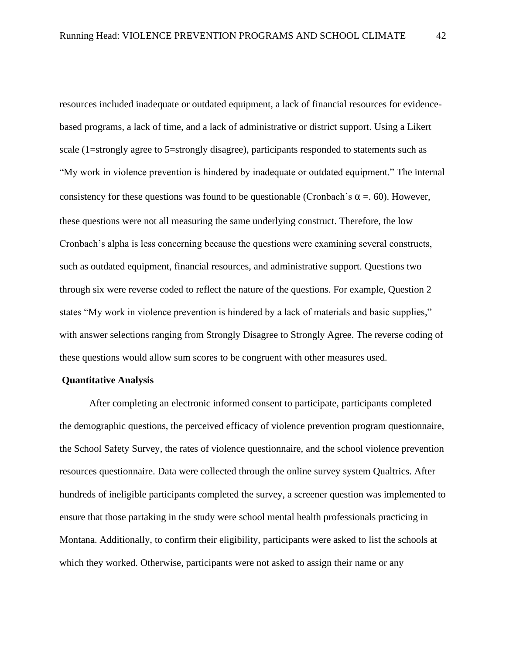resources included inadequate or outdated equipment, a lack of financial resources for evidencebased programs, a lack of time, and a lack of administrative or district support. Using a Likert scale (1=strongly agree to 5=strongly disagree), participants responded to statements such as "My work in violence prevention is hindered by inadequate or outdated equipment." The internal consistency for these questions was found to be questionable (Cronbach's  $\alpha = 60$ ). However, these questions were not all measuring the same underlying construct. Therefore, the low Cronbach's alpha is less concerning because the questions were examining several constructs, such as outdated equipment, financial resources, and administrative support. Questions two through six were reverse coded to reflect the nature of the questions. For example, Question 2 states "My work in violence prevention is hindered by a lack of materials and basic supplies," with answer selections ranging from Strongly Disagree to Strongly Agree. The reverse coding of these questions would allow sum scores to be congruent with other measures used.

#### **Quantitative Analysis**

After completing an electronic informed consent to participate, participants completed the demographic questions, the perceived efficacy of violence prevention program questionnaire, the School Safety Survey, the rates of violence questionnaire, and the school violence prevention resources questionnaire. Data were collected through the online survey system Qualtrics. After hundreds of ineligible participants completed the survey, a screener question was implemented to ensure that those partaking in the study were school mental health professionals practicing in Montana. Additionally, to confirm their eligibility, participants were asked to list the schools at which they worked. Otherwise, participants were not asked to assign their name or any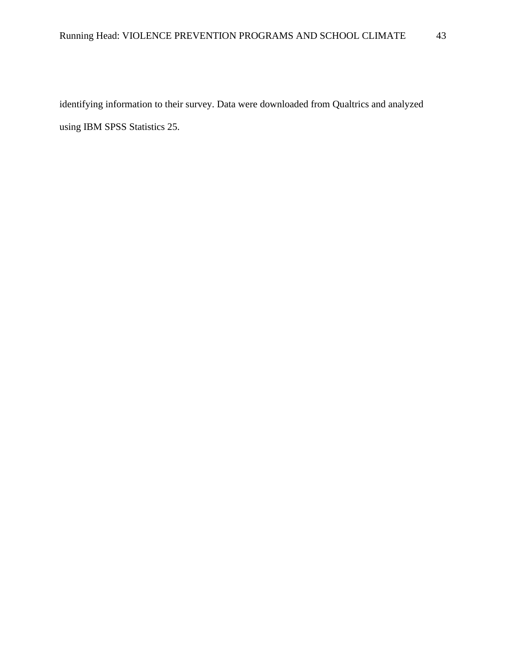identifying information to their survey. Data were downloaded from Qualtrics and analyzed using IBM SPSS Statistics 25.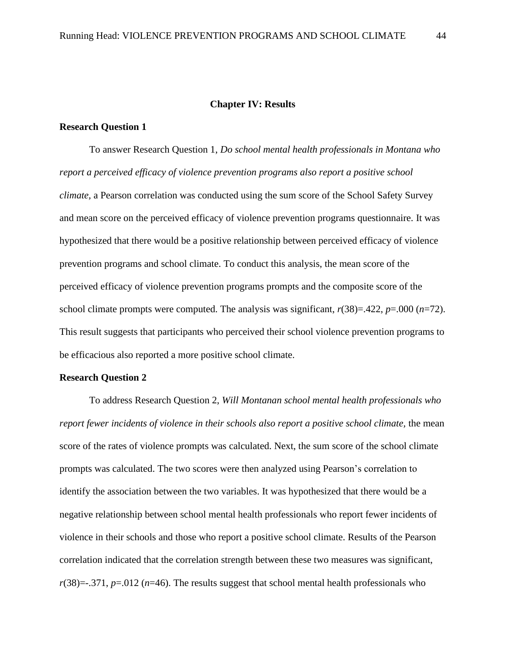## **Chapter IV: Results**

# **Research Question 1**

To answer Research Question 1, *Do school mental health professionals in Montana who report a perceived efficacy of violence prevention programs also report a positive school climate,* a Pearson correlation was conducted using the sum score of the School Safety Survey and mean score on the perceived efficacy of violence prevention programs questionnaire. It was hypothesized that there would be a positive relationship between perceived efficacy of violence prevention programs and school climate. To conduct this analysis, the mean score of the perceived efficacy of violence prevention programs prompts and the composite score of the school climate prompts were computed. The analysis was significant,  $r(38)=.422$ ,  $p=.000$  ( $n=72$ ). This result suggests that participants who perceived their school violence prevention programs to be efficacious also reported a more positive school climate.

# **Research Question 2**

To address Research Question 2, *Will Montanan school mental health professionals who report fewer incidents of violence in their schools also report a positive school climate, the mean* score of the rates of violence prompts was calculated. Next, the sum score of the school climate prompts was calculated. The two scores were then analyzed using Pearson's correlation to identify the association between the two variables. It was hypothesized that there would be a negative relationship between school mental health professionals who report fewer incidents of violence in their schools and those who report a positive school climate. Results of the Pearson correlation indicated that the correlation strength between these two measures was significant,  $r(38)$ =-.371,  $p=0.012$  ( $n=46$ ). The results suggest that school mental health professionals who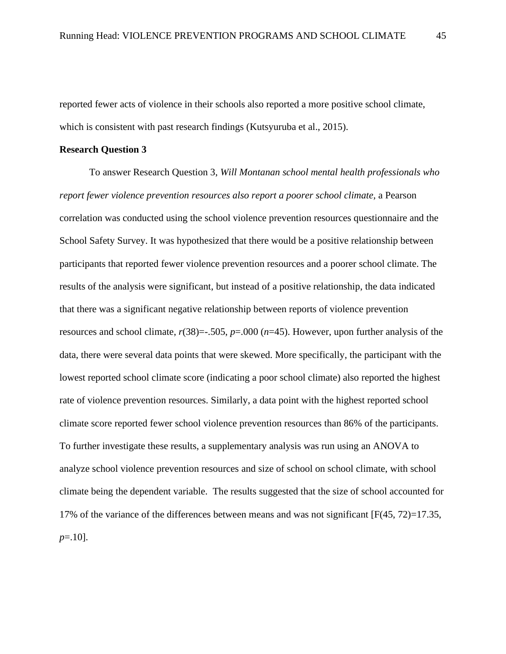reported fewer acts of violence in their schools also reported a more positive school climate, which is consistent with past research findings (Kutsyuruba et al., 2015).

# **Research Question 3**

To answer Research Question 3, *Will Montanan school mental health professionals who report fewer violence prevention resources also report a poorer school climate,* a Pearson correlation was conducted using the school violence prevention resources questionnaire and the School Safety Survey. It was hypothesized that there would be a positive relationship between participants that reported fewer violence prevention resources and a poorer school climate. The results of the analysis were significant, but instead of a positive relationship, the data indicated that there was a significant negative relationship between reports of violence prevention resources and school climate, *r*(38)=-.505, *p*=.000 (*n*=45). However, upon further analysis of the data, there were several data points that were skewed. More specifically, the participant with the lowest reported school climate score (indicating a poor school climate) also reported the highest rate of violence prevention resources. Similarly, a data point with the highest reported school climate score reported fewer school violence prevention resources than 86% of the participants. To further investigate these results, a supplementary analysis was run using an ANOVA to analyze school violence prevention resources and size of school on school climate, with school climate being the dependent variable. The results suggested that the size of school accounted for 17% of the variance of the differences between means and was not significant [F(45, 72)=17.35, *p*=.10].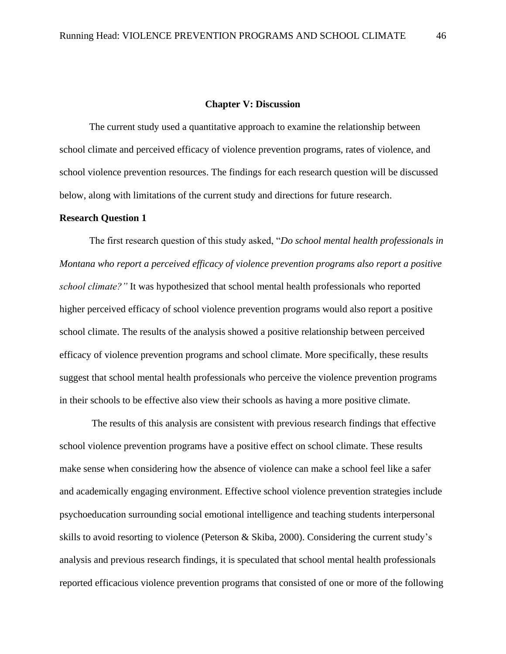#### **Chapter V: Discussion**

The current study used a quantitative approach to examine the relationship between school climate and perceived efficacy of violence prevention programs, rates of violence, and school violence prevention resources. The findings for each research question will be discussed below, along with limitations of the current study and directions for future research.

# **Research Question 1**

The first research question of this study asked, "*Do school mental health professionals in Montana who report a perceived efficacy of violence prevention programs also report a positive school climate?"* It was hypothesized that school mental health professionals who reported higher perceived efficacy of school violence prevention programs would also report a positive school climate. The results of the analysis showed a positive relationship between perceived efficacy of violence prevention programs and school climate. More specifically, these results suggest that school mental health professionals who perceive the violence prevention programs in their schools to be effective also view their schools as having a more positive climate.

The results of this analysis are consistent with previous research findings that effective school violence prevention programs have a positive effect on school climate. These results make sense when considering how the absence of violence can make a school feel like a safer and academically engaging environment. Effective school violence prevention strategies include psychoeducation surrounding social emotional intelligence and teaching students interpersonal skills to avoid resorting to violence (Peterson & Skiba, 2000). Considering the current study's analysis and previous research findings, it is speculated that school mental health professionals reported efficacious violence prevention programs that consisted of one or more of the following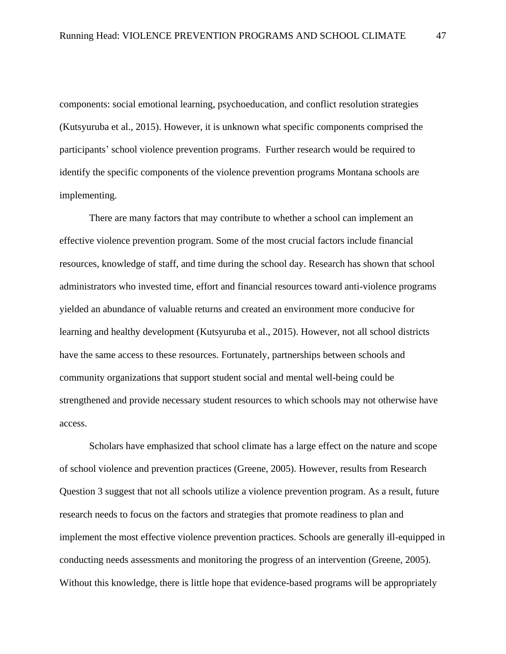components: social emotional learning, psychoeducation, and conflict resolution strategies (Kutsyuruba et al., 2015). However, it is unknown what specific components comprised the participants' school violence prevention programs. Further research would be required to identify the specific components of the violence prevention programs Montana schools are implementing.

There are many factors that may contribute to whether a school can implement an effective violence prevention program. Some of the most crucial factors include financial resources, knowledge of staff, and time during the school day. Research has shown that school administrators who invested time, effort and financial resources toward anti-violence programs yielded an abundance of valuable returns and created an environment more conducive for learning and healthy development (Kutsyuruba et al., 2015). However, not all school districts have the same access to these resources. Fortunately, partnerships between schools and community organizations that support student social and mental well-being could be strengthened and provide necessary student resources to which schools may not otherwise have access.

Scholars have emphasized that school climate has a large effect on the nature and scope of school violence and prevention practices (Greene, 2005). However, results from Research Question 3 suggest that not all schools utilize a violence prevention program. As a result, future research needs to focus on the factors and strategies that promote readiness to plan and implement the most effective violence prevention practices. Schools are generally ill-equipped in conducting needs assessments and monitoring the progress of an intervention (Greene, 2005). Without this knowledge, there is little hope that evidence-based programs will be appropriately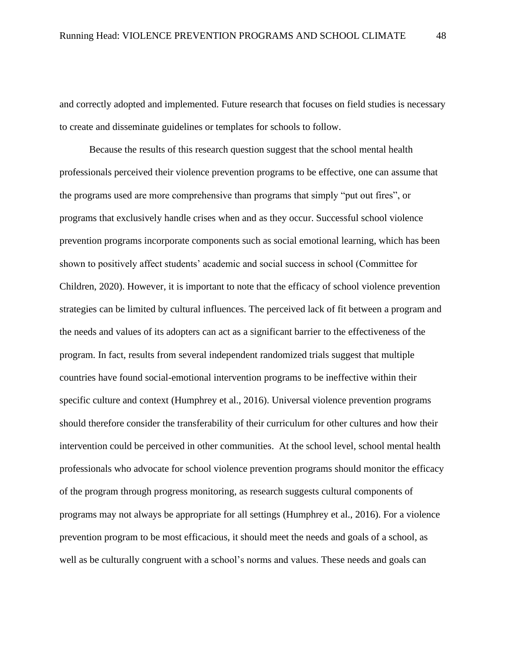and correctly adopted and implemented. Future research that focuses on field studies is necessary to create and disseminate guidelines or templates for schools to follow.

Because the results of this research question suggest that the school mental health professionals perceived their violence prevention programs to be effective, one can assume that the programs used are more comprehensive than programs that simply "put out fires", or programs that exclusively handle crises when and as they occur. Successful school violence prevention programs incorporate components such as social emotional learning, which has been shown to positively affect students' academic and social success in school (Committee for Children, 2020). However, it is important to note that the efficacy of school violence prevention strategies can be limited by cultural influences. The perceived lack of fit between a program and the needs and values of its adopters can act as a significant barrier to the effectiveness of the program. In fact, results from several independent randomized trials suggest that multiple countries have found social-emotional intervention programs to be ineffective within their specific culture and context (Humphrey et al., 2016). Universal violence prevention programs should therefore consider the transferability of their curriculum for other cultures and how their intervention could be perceived in other communities. At the school level, school mental health professionals who advocate for school violence prevention programs should monitor the efficacy of the program through progress monitoring, as research suggests cultural components of programs may not always be appropriate for all settings (Humphrey et al., 2016). For a violence prevention program to be most efficacious, it should meet the needs and goals of a school, as well as be culturally congruent with a school's norms and values. These needs and goals can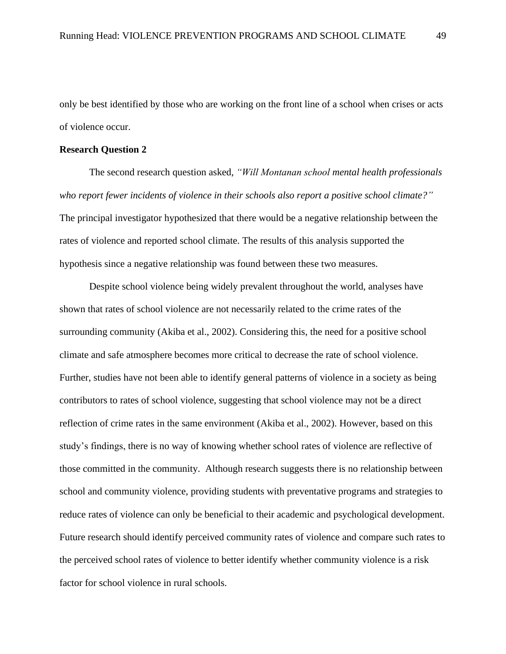only be best identified by those who are working on the front line of a school when crises or acts of violence occur.

# **Research Question 2**

The second research question asked, *"Will Montanan school mental health professionals who report fewer incidents of violence in their schools also report a positive school climate?"*  The principal investigator hypothesized that there would be a negative relationship between the rates of violence and reported school climate. The results of this analysis supported the hypothesis since a negative relationship was found between these two measures.

Despite school violence being widely prevalent throughout the world, analyses have shown that rates of school violence are not necessarily related to the crime rates of the surrounding community (Akiba et al., 2002). Considering this, the need for a positive school climate and safe atmosphere becomes more critical to decrease the rate of school violence. Further, studies have not been able to identify general patterns of violence in a society as being contributors to rates of school violence, suggesting that school violence may not be a direct reflection of crime rates in the same environment (Akiba et al., 2002). However, based on this study's findings, there is no way of knowing whether school rates of violence are reflective of those committed in the community. Although research suggests there is no relationship between school and community violence, providing students with preventative programs and strategies to reduce rates of violence can only be beneficial to their academic and psychological development. Future research should identify perceived community rates of violence and compare such rates to the perceived school rates of violence to better identify whether community violence is a risk factor for school violence in rural schools.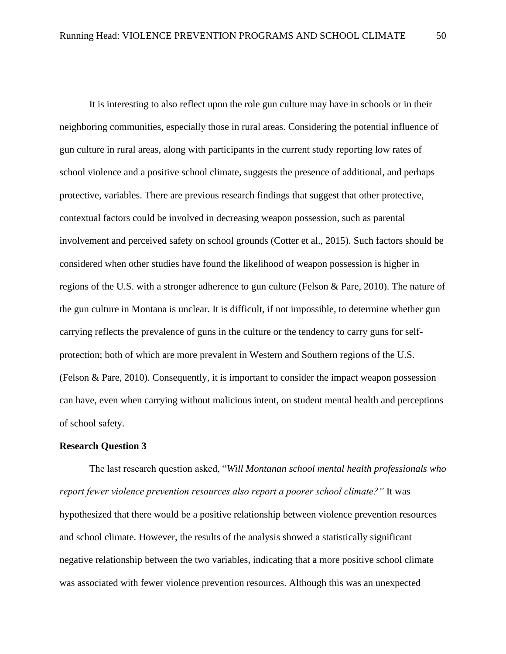It is interesting to also reflect upon the role gun culture may have in schools or in their neighboring communities, especially those in rural areas. Considering the potential influence of gun culture in rural areas, along with participants in the current study reporting low rates of school violence and a positive school climate, suggests the presence of additional, and perhaps protective, variables. There are previous research findings that suggest that other protective, contextual factors could be involved in decreasing weapon possession, such as parental involvement and perceived safety on school grounds (Cotter et al., 2015). Such factors should be considered when other studies have found the likelihood of weapon possession is higher in regions of the U.S. with a stronger adherence to gun culture (Felson & Pare, 2010). The nature of the gun culture in Montana is unclear. It is difficult, if not impossible, to determine whether gun carrying reflects the prevalence of guns in the culture or the tendency to carry guns for selfprotection; both of which are more prevalent in Western and Southern regions of the U.S. (Felson & Pare, 2010). Consequently, it is important to consider the impact weapon possession can have, even when carrying without malicious intent, on student mental health and perceptions of school safety.

#### **Research Question 3**

The last research question asked, "*Will Montanan school mental health professionals who report fewer violence prevention resources also report a poorer school climate?"* It was hypothesized that there would be a positive relationship between violence prevention resources and school climate. However, the results of the analysis showed a statistically significant negative relationship between the two variables, indicating that a more positive school climate was associated with fewer violence prevention resources. Although this was an unexpected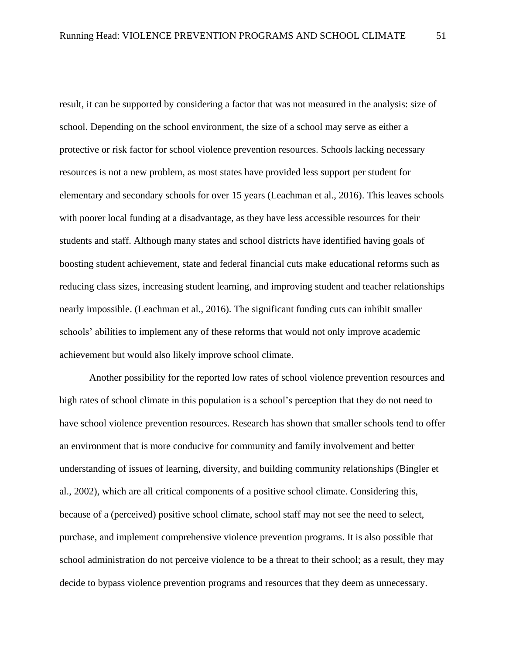result, it can be supported by considering a factor that was not measured in the analysis: size of school. Depending on the school environment, the size of a school may serve as either a protective or risk factor for school violence prevention resources. Schools lacking necessary resources is not a new problem, as most states have provided less support per student for elementary and secondary schools for over 15 years (Leachman et al., 2016). This leaves schools with poorer local funding at a disadvantage, as they have less accessible resources for their students and staff. Although many states and school districts have identified having goals of boosting student achievement, state and federal financial cuts make educational reforms such as reducing class sizes, increasing student learning, and improving student and teacher relationships nearly impossible. (Leachman et al., 2016). The significant funding cuts can inhibit smaller schools' abilities to implement any of these reforms that would not only improve academic achievement but would also likely improve school climate.

Another possibility for the reported low rates of school violence prevention resources and high rates of school climate in this population is a school's perception that they do not need to have school violence prevention resources. Research has shown that smaller schools tend to offer an environment that is more conducive for community and family involvement and better understanding of issues of learning, diversity, and building community relationships (Bingler et al., 2002), which are all critical components of a positive school climate. Considering this, because of a (perceived) positive school climate, school staff may not see the need to select, purchase, and implement comprehensive violence prevention programs. It is also possible that school administration do not perceive violence to be a threat to their school; as a result, they may decide to bypass violence prevention programs and resources that they deem as unnecessary.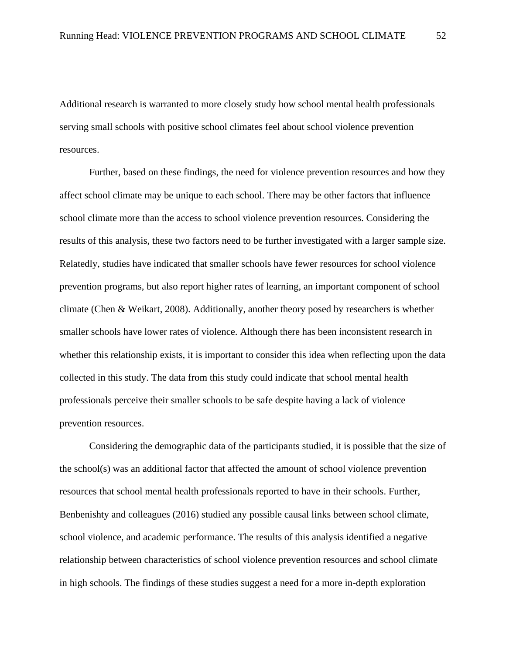Additional research is warranted to more closely study how school mental health professionals serving small schools with positive school climates feel about school violence prevention resources.

Further, based on these findings, the need for violence prevention resources and how they affect school climate may be unique to each school. There may be other factors that influence school climate more than the access to school violence prevention resources. Considering the results of this analysis, these two factors need to be further investigated with a larger sample size. Relatedly, studies have indicated that smaller schools have fewer resources for school violence prevention programs, but also report higher rates of learning, an important component of school climate (Chen & Weikart, 2008). Additionally, another theory posed by researchers is whether smaller schools have lower rates of violence. Although there has been inconsistent research in whether this relationship exists, it is important to consider this idea when reflecting upon the data collected in this study. The data from this study could indicate that school mental health professionals perceive their smaller schools to be safe despite having a lack of violence prevention resources.

Considering the demographic data of the participants studied, it is possible that the size of the school(s) was an additional factor that affected the amount of school violence prevention resources that school mental health professionals reported to have in their schools. Further, Benbenishty and colleagues (2016) studied any possible causal links between school climate, school violence, and academic performance. The results of this analysis identified a negative relationship between characteristics of school violence prevention resources and school climate in high schools. The findings of these studies suggest a need for a more in-depth exploration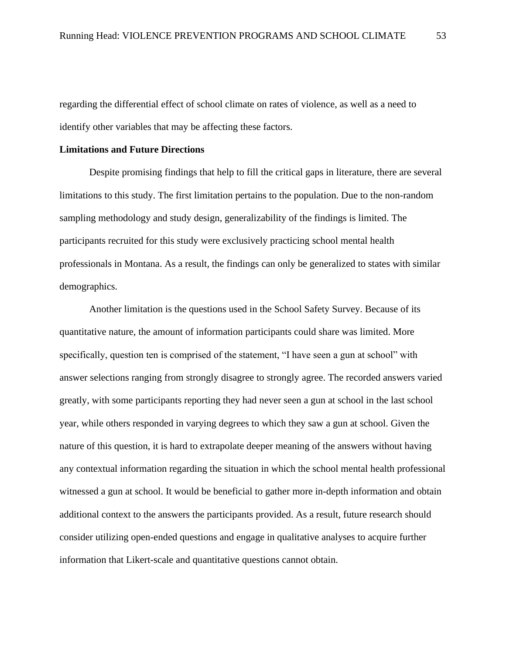regarding the differential effect of school climate on rates of violence, as well as a need to identify other variables that may be affecting these factors.

# **Limitations and Future Directions**

 Despite promising findings that help to fill the critical gaps in literature, there are several limitations to this study. The first limitation pertains to the population. Due to the non-random sampling methodology and study design, generalizability of the findings is limited. The participants recruited for this study were exclusively practicing school mental health professionals in Montana. As a result, the findings can only be generalized to states with similar demographics.

Another limitation is the questions used in the School Safety Survey. Because of its quantitative nature, the amount of information participants could share was limited. More specifically, question ten is comprised of the statement, "I have seen a gun at school" with answer selections ranging from strongly disagree to strongly agree. The recorded answers varied greatly, with some participants reporting they had never seen a gun at school in the last school year, while others responded in varying degrees to which they saw a gun at school. Given the nature of this question, it is hard to extrapolate deeper meaning of the answers without having any contextual information regarding the situation in which the school mental health professional witnessed a gun at school. It would be beneficial to gather more in-depth information and obtain additional context to the answers the participants provided. As a result, future research should consider utilizing open-ended questions and engage in qualitative analyses to acquire further information that Likert-scale and quantitative questions cannot obtain.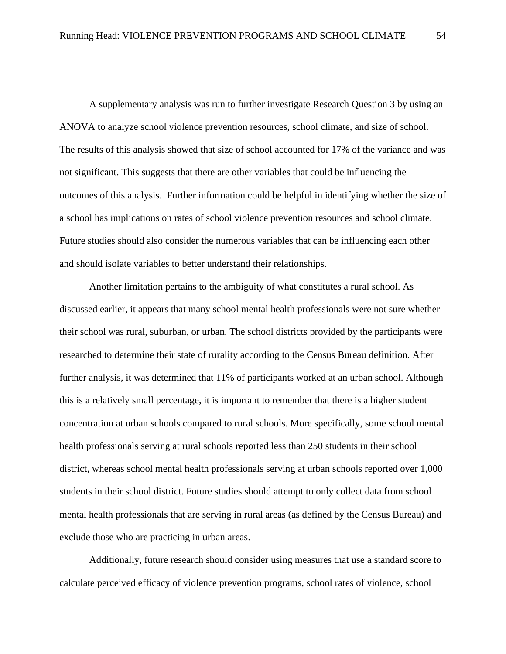A supplementary analysis was run to further investigate Research Question 3 by using an ANOVA to analyze school violence prevention resources, school climate, and size of school. The results of this analysis showed that size of school accounted for 17% of the variance and was not significant. This suggests that there are other variables that could be influencing the outcomes of this analysis. Further information could be helpful in identifying whether the size of a school has implications on rates of school violence prevention resources and school climate. Future studies should also consider the numerous variables that can be influencing each other and should isolate variables to better understand their relationships.

Another limitation pertains to the ambiguity of what constitutes a rural school. As discussed earlier, it appears that many school mental health professionals were not sure whether their school was rural, suburban, or urban. The school districts provided by the participants were researched to determine their state of rurality according to the Census Bureau definition. After further analysis, it was determined that 11% of participants worked at an urban school. Although this is a relatively small percentage, it is important to remember that there is a higher student concentration at urban schools compared to rural schools. More specifically, some school mental health professionals serving at rural schools reported less than 250 students in their school district, whereas school mental health professionals serving at urban schools reported over 1,000 students in their school district. Future studies should attempt to only collect data from school mental health professionals that are serving in rural areas (as defined by the Census Bureau) and exclude those who are practicing in urban areas.

Additionally, future research should consider using measures that use a standard score to calculate perceived efficacy of violence prevention programs, school rates of violence, school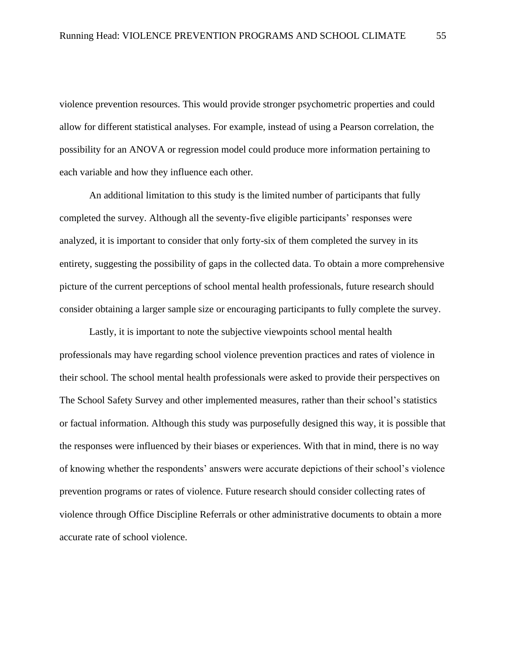violence prevention resources. This would provide stronger psychometric properties and could allow for different statistical analyses. For example, instead of using a Pearson correlation, the possibility for an ANOVA or regression model could produce more information pertaining to each variable and how they influence each other.

An additional limitation to this study is the limited number of participants that fully completed the survey. Although all the seventy-five eligible participants' responses were analyzed, it is important to consider that only forty-six of them completed the survey in its entirety, suggesting the possibility of gaps in the collected data. To obtain a more comprehensive picture of the current perceptions of school mental health professionals, future research should consider obtaining a larger sample size or encouraging participants to fully complete the survey.

Lastly, it is important to note the subjective viewpoints school mental health professionals may have regarding school violence prevention practices and rates of violence in their school. The school mental health professionals were asked to provide their perspectives on The School Safety Survey and other implemented measures, rather than their school's statistics or factual information. Although this study was purposefully designed this way, it is possible that the responses were influenced by their biases or experiences. With that in mind, there is no way of knowing whether the respondents' answers were accurate depictions of their school's violence prevention programs or rates of violence. Future research should consider collecting rates of violence through Office Discipline Referrals or other administrative documents to obtain a more accurate rate of school violence.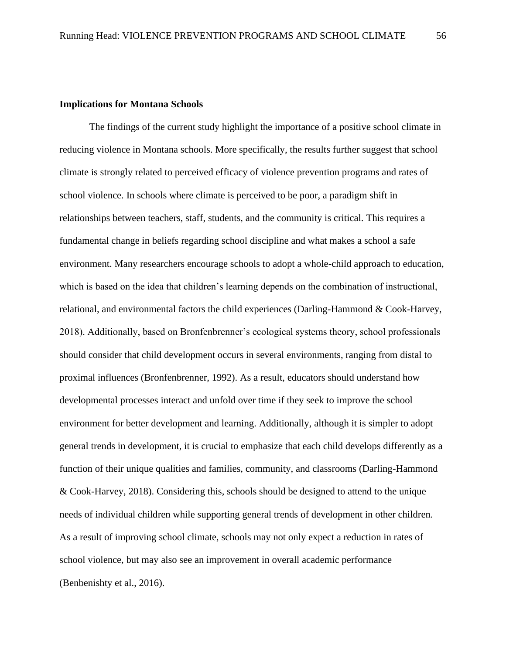## **Implications for Montana Schools**

The findings of the current study highlight the importance of a positive school climate in reducing violence in Montana schools. More specifically, the results further suggest that school climate is strongly related to perceived efficacy of violence prevention programs and rates of school violence. In schools where climate is perceived to be poor, a paradigm shift in relationships between teachers, staff, students, and the community is critical. This requires a fundamental change in beliefs regarding school discipline and what makes a school a safe environment. Many researchers encourage schools to adopt a whole-child approach to education, which is based on the idea that children's learning depends on the combination of instructional, relational, and environmental factors the child experiences (Darling-Hammond & Cook-Harvey, 2018). Additionally, based on Bronfenbrenner's ecological systems theory, school professionals should consider that child development occurs in several environments, ranging from distal to proximal influences (Bronfenbrenner, 1992). As a result, educators should understand how developmental processes interact and unfold over time if they seek to improve the school environment for better development and learning. Additionally, although it is simpler to adopt general trends in development, it is crucial to emphasize that each child develops differently as a function of their unique qualities and families, community, and classrooms (Darling-Hammond & Cook-Harvey, 2018). Considering this, schools should be designed to attend to the unique needs of individual children while supporting general trends of development in other children. As a result of improving school climate, schools may not only expect a reduction in rates of school violence, but may also see an improvement in overall academic performance (Benbenishty et al., 2016).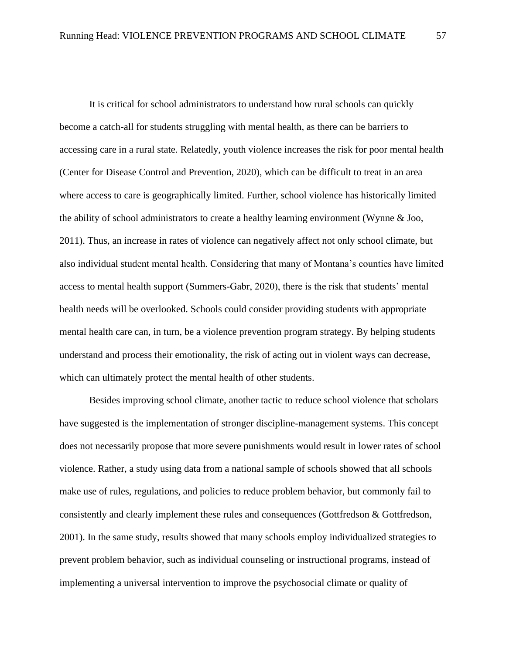It is critical for school administrators to understand how rural schools can quickly become a catch-all for students struggling with mental health, as there can be barriers to accessing care in a rural state. Relatedly, youth violence increases the risk for poor mental health (Center for Disease Control and Prevention, 2020), which can be difficult to treat in an area where access to care is geographically limited. Further, school violence has historically limited the ability of school administrators to create a healthy learning environment (Wynne & Joo, 2011). Thus, an increase in rates of violence can negatively affect not only school climate, but also individual student mental health. Considering that many of Montana's counties have limited access to mental health support (Summers-Gabr, 2020), there is the risk that students' mental health needs will be overlooked. Schools could consider providing students with appropriate mental health care can, in turn, be a violence prevention program strategy. By helping students understand and process their emotionality, the risk of acting out in violent ways can decrease, which can ultimately protect the mental health of other students.

Besides improving school climate, another tactic to reduce school violence that scholars have suggested is the implementation of stronger discipline-management systems. This concept does not necessarily propose that more severe punishments would result in lower rates of school violence. Rather, a study using data from a national sample of schools showed that all schools make use of rules, regulations, and policies to reduce problem behavior, but commonly fail to consistently and clearly implement these rules and consequences (Gottfredson & Gottfredson, 2001). In the same study, results showed that many schools employ individualized strategies to prevent problem behavior, such as individual counseling or instructional programs, instead of implementing a universal intervention to improve the psychosocial climate or quality of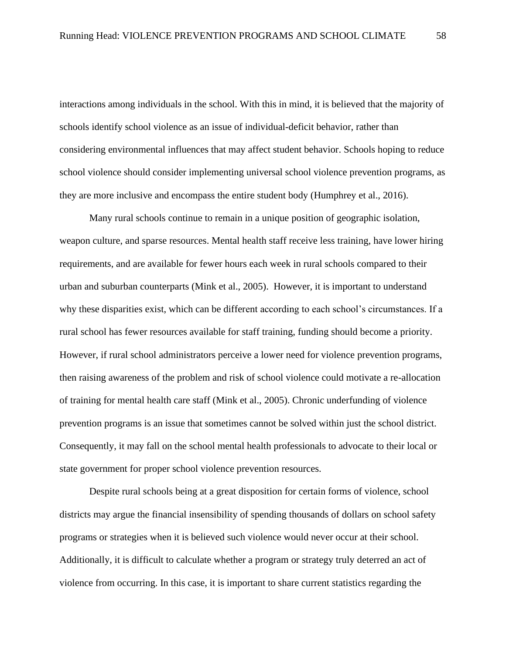interactions among individuals in the school. With this in mind, it is believed that the majority of schools identify school violence as an issue of individual-deficit behavior, rather than considering environmental influences that may affect student behavior. Schools hoping to reduce school violence should consider implementing universal school violence prevention programs, as they are more inclusive and encompass the entire student body (Humphrey et al., 2016).

Many rural schools continue to remain in a unique position of geographic isolation, weapon culture, and sparse resources. Mental health staff receive less training, have lower hiring requirements, and are available for fewer hours each week in rural schools compared to their urban and suburban counterparts (Mink et al., 2005). However, it is important to understand why these disparities exist, which can be different according to each school's circumstances. If a rural school has fewer resources available for staff training, funding should become a priority. However, if rural school administrators perceive a lower need for violence prevention programs, then raising awareness of the problem and risk of school violence could motivate a re-allocation of training for mental health care staff (Mink et al., 2005). Chronic underfunding of violence prevention programs is an issue that sometimes cannot be solved within just the school district. Consequently, it may fall on the school mental health professionals to advocate to their local or state government for proper school violence prevention resources.

Despite rural schools being at a great disposition for certain forms of violence, school districts may argue the financial insensibility of spending thousands of dollars on school safety programs or strategies when it is believed such violence would never occur at their school. Additionally, it is difficult to calculate whether a program or strategy truly deterred an act of violence from occurring. In this case, it is important to share current statistics regarding the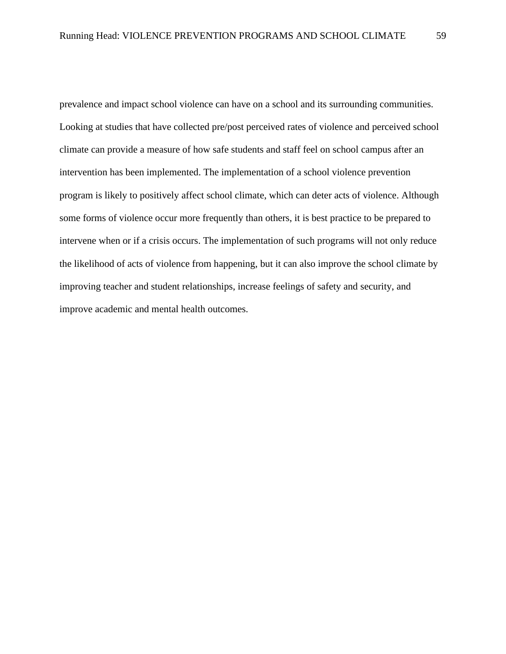prevalence and impact school violence can have on a school and its surrounding communities. Looking at studies that have collected pre/post perceived rates of violence and perceived school climate can provide a measure of how safe students and staff feel on school campus after an intervention has been implemented. The implementation of a school violence prevention program is likely to positively affect school climate, which can deter acts of violence. Although some forms of violence occur more frequently than others, it is best practice to be prepared to intervene when or if a crisis occurs. The implementation of such programs will not only reduce the likelihood of acts of violence from happening, but it can also improve the school climate by improving teacher and student relationships, increase feelings of safety and security, and improve academic and mental health outcomes.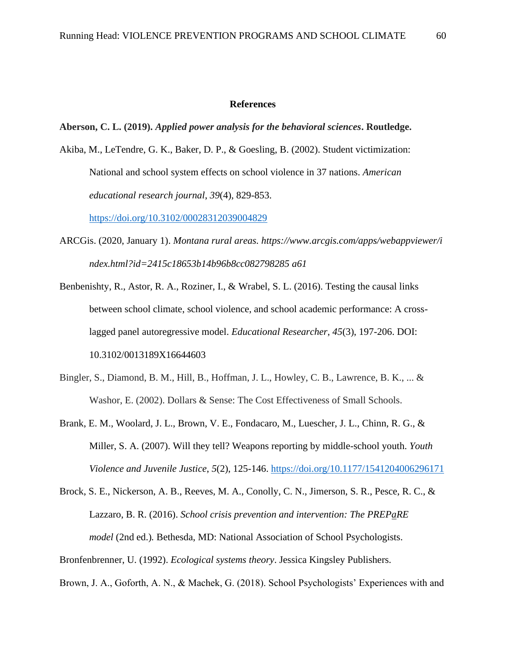#### **References**

#### **Aberson, C. L. (2019).** *Applied power analysis for the behavioral sciences***. Routledge.**

Akiba, M., LeTendre, G. K., Baker, D. P., & Goesling, B. (2002). Student victimization: National and school system effects on school violence in 37 nations. *American educational research journal*, *39*(4), 829-853.

[https://doi.org/10.3102/00028312039004829](https://doi.org/10.3102%2F00028312039004829)

- ARCGis. (2020, January 1). *Montana rural areas. https://www.arcgis.com/apps/webappviewer/i ndex.html?id=2415c18653b14b96b8cc082798285 a61*
- Benbenishty, R., Astor, R. A., Roziner, I., & Wrabel, S. L. (2016). Testing the causal links between school climate, school violence, and school academic performance: A crosslagged panel autoregressive model. *Educational Researcher*, *45*(3), 197-206. DOI: 10.3102/0013189X16644603
- Bingler, S., Diamond, B. M., Hill, B., Hoffman, J. L., Howley, C. B., Lawrence, B. K., ... & Washor, E. (2002). Dollars & Sense: The Cost Effectiveness of Small Schools.
- Brank, E. M., Woolard, J. L., Brown, V. E., Fondacaro, M., Luescher, J. L., Chinn, R. G., & Miller, S. A. (2007). Will they tell? Weapons reporting by middle-school youth. *Youth Violence and Juvenile Justice*, *5*(2), 125-146. [https://doi.org/10.1177/1541204006296171](https://doi.org/10.1177%2F1541204006296171)
- Brock, S. E., Nickerson, A. B., Reeves, M. A., Conolly, C. N., Jimerson, S. R., Pesce, R. C., & Lazzaro, B. R. (2016). *School crisis prevention and intervention: The PREPaRE model* (2nd ed.)*.* Bethesda, MD: National Association of School Psychologists.
- Bronfenbrenner, U. (1992). *Ecological systems theory*. Jessica Kingsley Publishers.

Brown, J. A., Goforth, A. N., & Machek, G. (2018). School Psychologists' Experiences with and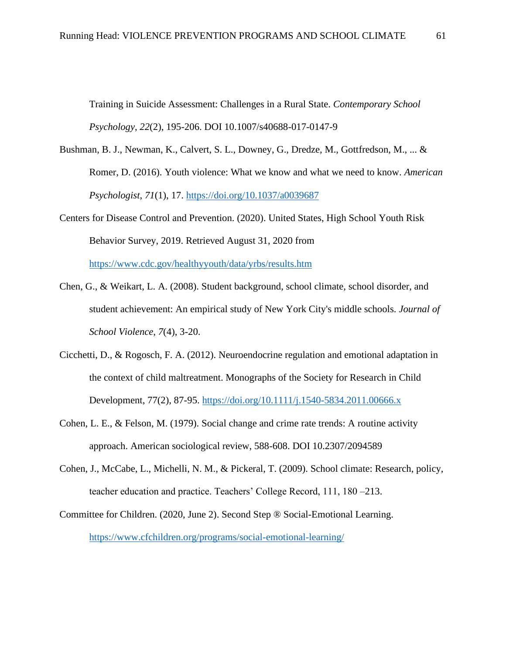Training in Suicide Assessment: Challenges in a Rural State. *Contemporary School Psychology*, *22*(2), 195-206. DOI 10.1007/s40688-017-0147-9

- Bushman, B. J., Newman, K., Calvert, S. L., Downey, G., Dredze, M., Gottfredson, M., ... & Romer, D. (2016). Youth violence: What we know and what we need to know. *American Psychologist*, *71*(1), 17. [https://doi.org/10.1037/a0039687](https://psycnet.apa.org/doi/10.1037/a0039687)
- Centers for Disease Control and Prevention. (2020). United States, High School Youth Risk Behavior Survey, 2019. Retrieved August 31, 2020 from <https://www.cdc.gov/healthyyouth/data/yrbs/results.htm>
- Chen, G., & Weikart, L. A. (2008). Student background, school climate, school disorder, and student achievement: An empirical study of New York City's middle schools. *Journal of School Violence*, *7*(4), 3-20.
- Cicchetti, D., & Rogosch, F. A. (2012). Neuroendocrine regulation and emotional adaptation in the context of child maltreatment. Monographs of the Society for Research in Child Development, 77(2), 87-95.<https://doi.org/10.1111/j.1540-5834.2011.00666.x>
- Cohen, L. E., & Felson, M. (1979). Social change and crime rate trends: A routine activity approach. American sociological review, 588-608. DOI 10.2307/2094589
- Cohen, J., McCabe, L., Michelli, N. M., & Pickeral, T. (2009). School climate: Research, policy, teacher education and practice. Teachers' College Record, 111, 180 –213.
- Committee for Children. (2020, June 2). Second Step ® Social-Emotional Learning. <https://www.cfchildren.org/programs/social-emotional-learning/>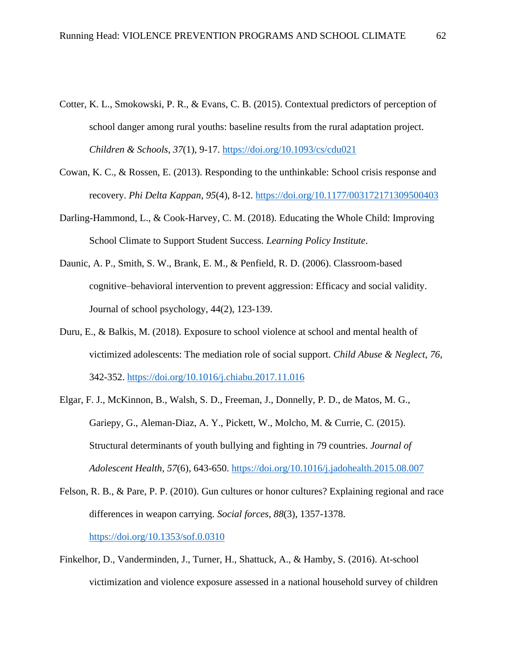- Cotter, K. L., Smokowski, P. R., & Evans, C. B. (2015). Contextual predictors of perception of school danger among rural youths: baseline results from the rural adaptation project. *Children & Schools*, *37*(1), 9-17.<https://doi.org/10.1093/cs/cdu021>
- Cowan, K. C., & Rossen, E. (2013). Responding to the unthinkable: School crisis response and recovery. *Phi Delta Kappan*, *95*(4), 8-12. [https://doi.org/10.1177/003172171309500403](https://doi.org/10.1177%2F003172171309500403)
- Darling-Hammond, L., & Cook-Harvey, C. M. (2018). Educating the Whole Child: Improving School Climate to Support Student Success. *Learning Policy Institute*.
- Daunic, A. P., Smith, S. W., Brank, E. M., & Penfield, R. D. (2006). Classroom-based cognitive–behavioral intervention to prevent aggression: Efficacy and social validity. Journal of school psychology, 44(2), 123-139.
- Duru, E., & Balkis, M. (2018). Exposure to school violence at school and mental health of victimized adolescents: The mediation role of social support. *Child Abuse & Neglect*, *76*, 342-352.<https://doi.org/10.1016/j.chiabu.2017.11.016>
- Elgar, F. J., McKinnon, B., Walsh, S. D., Freeman, J., Donnelly, P. D., de Matos, M. G., Gariepy, G., Aleman-Diaz, A. Y., Pickett, W., Molcho, M. & Currie, C. (2015). Structural determinants of youth bullying and fighting in 79 countries. *Journal of Adolescent Health*, *57*(6), 643-650.<https://doi.org/10.1016/j.jadohealth.2015.08.007>
- Felson, R. B., & Pare, P. P. (2010). Gun cultures or honor cultures? Explaining regional and race differences in weapon carrying. *Social forces*, *88*(3), 1357-1378. <https://doi.org/10.1353/sof.0.0310>
- Finkelhor, D., Vanderminden, J., Turner, H., Shattuck, A., & Hamby, S. (2016). At-school victimization and violence exposure assessed in a national household survey of children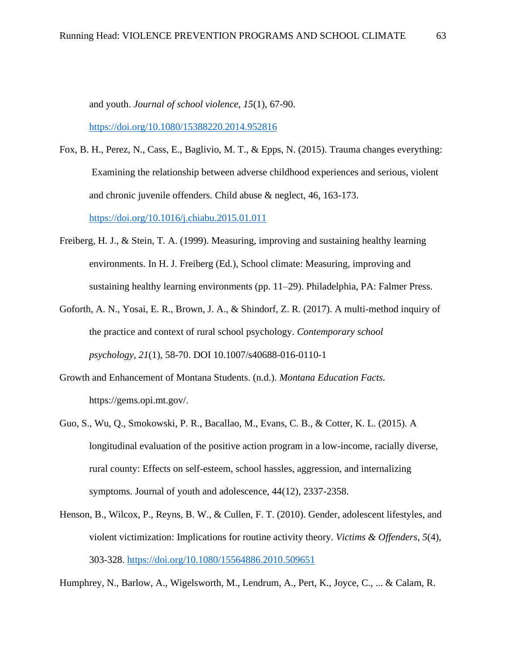and youth. *Journal of school violence*, *15*(1), 67-90.

<https://doi.org/10.1080/15388220.2014.952816>

- Fox, B. H., Perez, N., Cass, E., Baglivio, M. T., & Epps, N. (2015). Trauma changes everything: Examining the relationship between adverse childhood experiences and serious, violent and chronic juvenile offenders. Child abuse & neglect, 46, 163-173. <https://doi.org/10.1016/j.chiabu.2015.01.011>
- Freiberg, H. J., & Stein, T. A. (1999). Measuring, improving and sustaining healthy learning environments. In H. J. Freiberg (Ed.), School climate: Measuring, improving and sustaining healthy learning environments (pp. 11–29). Philadelphia, PA: Falmer Press.
- Goforth, A. N., Yosai, E. R., Brown, J. A., & Shindorf, Z. R. (2017). A multi-method inquiry of the practice and context of rural school psychology. *Contemporary school psychology*, *21*(1), 58-70. DOI 10.1007/s40688-016-0110-1
- Growth and Enhancement of Montana Students. (n.d.). *Montana Education Facts.* https://gems.opi.mt.gov/.
- Guo, S., Wu, Q., Smokowski, P. R., Bacallao, M., Evans, C. B., & Cotter, K. L. (2015). A longitudinal evaluation of the positive action program in a low-income, racially diverse, rural county: Effects on self-esteem, school hassles, aggression, and internalizing symptoms. Journal of youth and adolescence, 44(12), 2337-2358.
- Henson, B., Wilcox, P., Reyns, B. W., & Cullen, F. T. (2010). Gender, adolescent lifestyles, and violent victimization: Implications for routine activity theory. *Victims & Offenders*, *5*(4), 303-328.<https://doi.org/10.1080/15564886.2010.509651>

Humphrey, N., Barlow, A., Wigelsworth, M., Lendrum, A., Pert, K., Joyce, C., ... & Calam, R.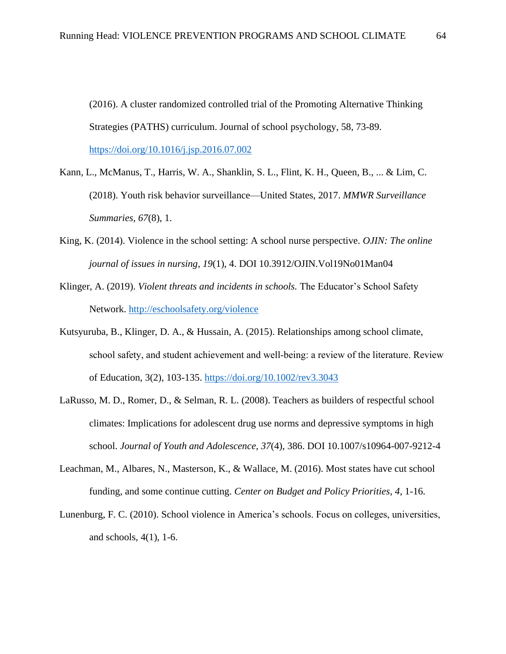(2016). A cluster randomized controlled trial of the Promoting Alternative Thinking Strategies (PATHS) curriculum. Journal of school psychology, 58, 73-89. <https://doi.org/10.1016/j.jsp.2016.07.002>

Kann, L., McManus, T., Harris, W. A., Shanklin, S. L., Flint, K. H., Queen, B., ... & Lim, C. (2018). Youth risk behavior surveillance—United States, 2017. *MMWR Surveillance Summaries*, *67*(8), 1.

- King, K. (2014). Violence in the school setting: A school nurse perspective. *OJIN: The online journal of issues in nursing*, *19*(1), 4. DOI 10.3912/OJIN.Vol19No01Man04
- Klinger, A. (2019). *Violent threats and incidents in schools.* The Educator's School Safety Network.<http://eschoolsafety.org/violence>
- Kutsyuruba, B., Klinger, D. A., & Hussain, A. (2015). Relationships among school climate, school safety, and student achievement and well-being: a review of the literature. Review of Education, 3(2), 103-135.<https://doi.org/10.1002/rev3.3043>
- LaRusso, M. D., Romer, D., & Selman, R. L. (2008). Teachers as builders of respectful school climates: Implications for adolescent drug use norms and depressive symptoms in high school. *Journal of Youth and Adolescence*, *37*(4), 386. DOI 10.1007/s10964-007-9212-4
- Leachman, M., Albares, N., Masterson, K., & Wallace, M. (2016). Most states have cut school funding, and some continue cutting. *Center on Budget and Policy Priorities*, *4*, 1-16.
- Lunenburg, F. C. (2010). School violence in America's schools. Focus on colleges, universities, and schools, 4(1), 1-6.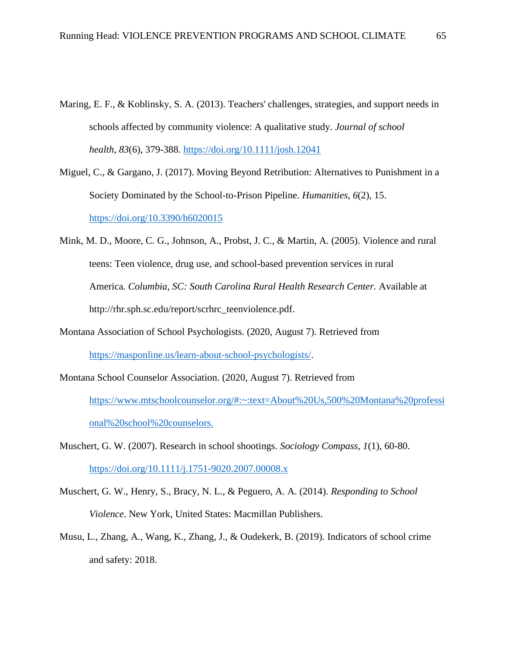- Maring, E. F., & Koblinsky, S. A. (2013). Teachers' challenges, strategies, and support needs in schools affected by community violence: A qualitative study. *Journal of school health*, *83*(6), 379-388.<https://doi.org/10.1111/josh.12041>
- Miguel, C., & Gargano, J. (2017). Moving Beyond Retribution: Alternatives to Punishment in a Society Dominated by the School-to-Prison Pipeline. *Humanities*, *6*(2), 15. <https://doi.org/10.3390/h6020015>
- Mink, M. D., Moore, C. G., Johnson, A., Probst, J. C., & Martin, A. (2005). Violence and rural teens: Teen violence, drug use, and school-based prevention services in rural America*. Columbia, SC: South Carolina Rural Health Research Center.* Available at http://rhr.sph.sc.edu/report/scrhrc\_teenviolence.pdf.
- Montana Association of School Psychologists. (2020, August 7). Retrieved from [https://masponline.us/learn-about-school-psychologists/.](https://masponline.us/learn-about-school-psychologists/)
- Montana School Counselor Association. (2020, August 7). Retrieved from [https://www.mtschoolcounselor.org/#:~:text=About%20Us,500%20Montana%20professi](https://www.mtschoolcounselor.org/#:~:text=About%20Us,500%20Montana%20professional%20school%20counselors.) [onal%20school%20counselors.](https://www.mtschoolcounselor.org/#:~:text=About%20Us,500%20Montana%20professional%20school%20counselors.)
- Muschert, G. W. (2007). Research in school shootings. *Sociology Compass*, *1*(1), 60-80. <https://doi.org/10.1111/j.1751-9020.2007.00008.x>
- Muschert, G. W., Henry, S., Bracy, N. L., & Peguero, A. A. (2014). *Responding to School Violence*. New York, United States: Macmillan Publishers.
- Musu, L., Zhang, A., Wang, K., Zhang, J., & Oudekerk, B. (2019). Indicators of school crime and safety: 2018.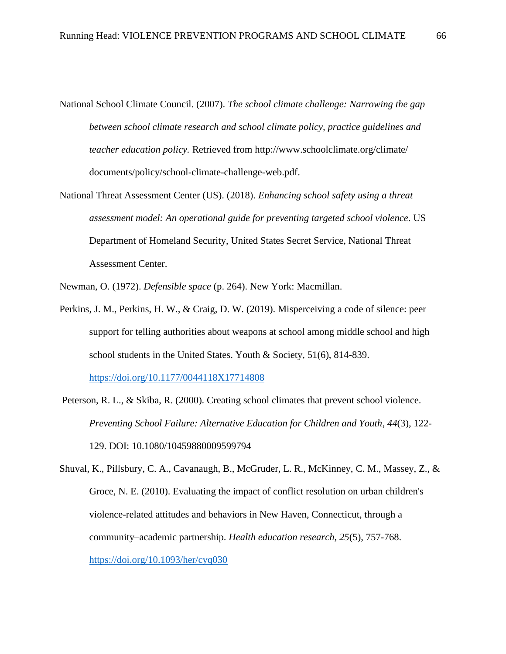- National School Climate Council. (2007). *The school climate challenge: Narrowing the gap between school climate research and school climate policy, practice guidelines and teacher education policy.* Retrieved from [http://www.schoolclimate.org/climate/](http://www.schoolclimate.org/climate/documents/policy/school-climate-challenge-web.pdf)  [documents/policy/school-climate-challenge-web.pdf.](http://www.schoolclimate.org/climate/documents/policy/school-climate-challenge-web.pdf)
- National Threat Assessment Center (US). (2018). *Enhancing school safety using a threat assessment model: An operational guide for preventing targeted school violence*. US Department of Homeland Security, United States Secret Service, National Threat Assessment Center.

Newman, O. (1972). *Defensible space* (p. 264). New York: Macmillan.

Perkins, J. M., Perkins, H. W., & Craig, D. W. (2019). Misperceiving a code of silence: peer support for telling authorities about weapons at school among middle school and high school students in the United States. Youth & Society, 51(6), 814-839.

[https://doi.org/10.1177/0044118X17714808](https://doi.org/10.1177%2F0044118X17714808)

- Peterson, R. L., & Skiba, R. (2000). Creating school climates that prevent school violence. *Preventing School Failure: Alternative Education for Children and Youth*, *44*(3), 122- 129. DOI: 10.1080/10459880009599794
- Shuval, K., Pillsbury, C. A., Cavanaugh, B., McGruder, L. R., McKinney, C. M., Massey, Z., & Groce, N. E. (2010). Evaluating the impact of conflict resolution on urban children's violence-related attitudes and behaviors in New Haven, Connecticut, through a community–academic partnership. *Health education research*, *25*(5), 757-768. <https://doi.org/10.1093/her/cyq030>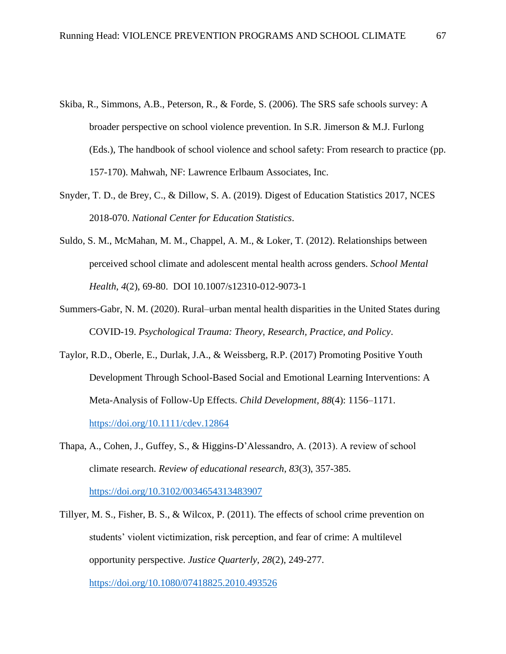- Skiba, R., Simmons, A.B., Peterson, R., & Forde, S. (2006). The SRS safe schools survey: A broader perspective on school violence prevention. In S.R. Jimerson & M.J. Furlong (Eds.), The handbook of school violence and school safety: From research to practice (pp. 157-170). Mahwah, NF: Lawrence Erlbaum Associates, Inc.
- Snyder, T. D., de Brey, C., & Dillow, S. A. (2019). Digest of Education Statistics 2017, NCES 2018-070. *National Center for Education Statistics*.
- Suldo, S. M., McMahan, M. M., Chappel, A. M., & Loker, T. (2012). Relationships between perceived school climate and adolescent mental health across genders. *School Mental Health*, *4*(2), 69-80. DOI 10.1007/s12310-012-9073-1
- Summers-Gabr, N. M. (2020). Rural–urban mental health disparities in the United States during COVID-19. *Psychological Trauma: Theory, Research, Practice, and Policy*.
- Taylor, R.D., Oberle, E., Durlak, J.A., & Weissberg, R.P. (2017) Promoting Positive Youth Development Through School-Based Social and Emotional Learning Interventions: A Meta-Analysis of Follow-Up Effects. *Child Development, 88*(4): 1156–1171. <https://doi.org/10.1111/cdev.12864>
- Thapa, A., Cohen, J., Guffey, S., & Higgins-D'Alessandro, A. (2013). A review of school climate research. *Review of educational research*, *83*(3), 357-385. [https://doi.org/10.3102/0034654313483907](https://doi.org/10.3102%2F0034654313483907)
- Tillyer, M. S., Fisher, B. S., & Wilcox, P. (2011). The effects of school crime prevention on students' violent victimization, risk perception, and fear of crime: A multilevel opportunity perspective. *Justice Quarterly*, *28*(2), 249-277.

<https://doi.org/10.1080/07418825.2010.493526>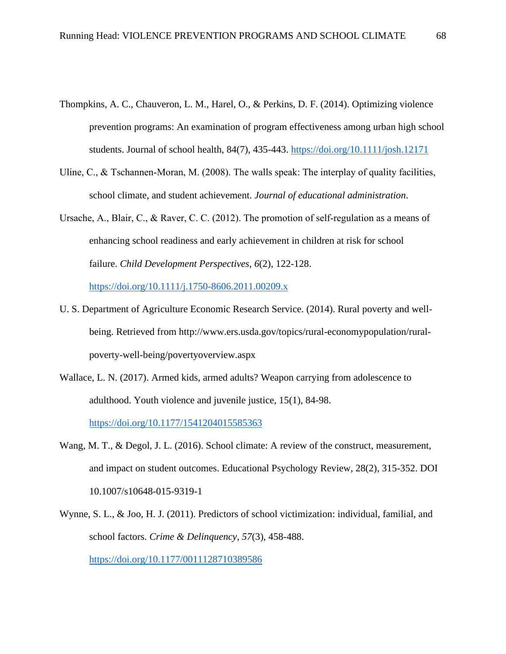- Thompkins, A. C., Chauveron, L. M., Harel, O., & Perkins, D. F. (2014). Optimizing violence prevention programs: An examination of program effectiveness among urban high school students. Journal of school health, 84(7), 435-443.<https://doi.org/10.1111/josh.12171>
- Uline, C., & Tschannen-Moran, M. (2008). The walls speak: The interplay of quality facilities, school climate, and student achievement. *Journal of educational administration*.
- Ursache, A., Blair, C., & Raver, C. C. (2012). The promotion of self‐regulation as a means of enhancing school readiness and early achievement in children at risk for school failure. *Child Development Perspectives*, *6*(2), 122-128.

<https://doi.org/10.1111/j.1750-8606.2011.00209.x>

- U. S. Department of Agriculture Economic Research Service. (2014). Rural poverty and wellbeing. Retrieved from http://www.ers.usda.gov/topics/rural-economypopulation/ruralpoverty-well-being/povertyoverview.aspx
- Wallace, L. N. (2017). Armed kids, armed adults? Weapon carrying from adolescence to adulthood. Youth violence and juvenile justice, 15(1), 84-98.

[https://doi.org/10.1177/1541204015585363](https://doi.org/10.1177%2F1541204015585363)

- Wang, M. T., & Degol, J. L. (2016). School climate: A review of the construct, measurement, and impact on student outcomes. Educational Psychology Review, 28(2), 315-352. DOI 10.1007/s10648-015-9319-1
- Wynne, S. L., & Joo, H. J. (2011). Predictors of school victimization: individual, familial, and school factors. *Crime & Delinquency*, *57*(3), 458-488.

[https://doi.org/10.1177/0011128710389586](https://doi.org/10.1177%2F0011128710389586)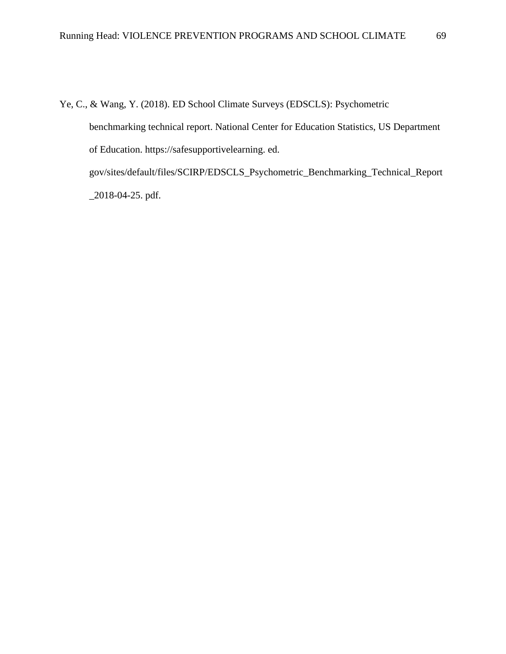Ye, C., & Wang, Y. (2018). ED School Climate Surveys (EDSCLS): Psychometric benchmarking technical report. National Center for Education Statistics, US Department of Education. https://safesupportivelearning. ed. gov/sites/default/files/SCIRP/EDSCLS\_Psychometric\_Benchmarking\_Technical\_Report \_2018-04-25. pdf.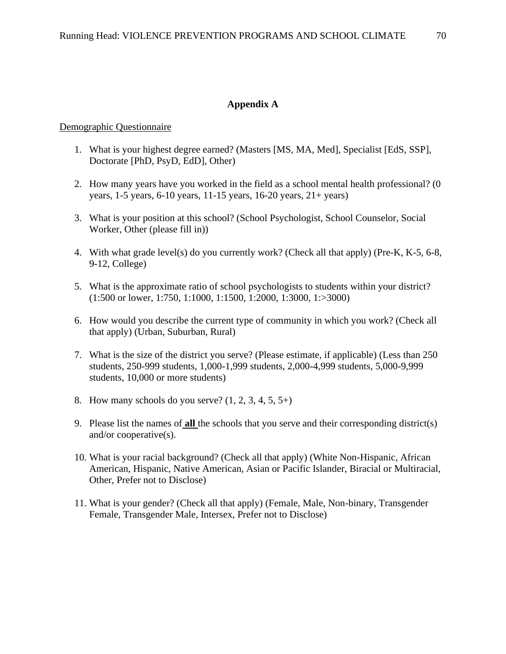### **Appendix A**

#### Demographic Questionnaire

- 1. What is your highest degree earned? (Masters [MS, MA, Med], Specialist [EdS, SSP], Doctorate [PhD, PsyD, EdD], Other)
- 2. How many years have you worked in the field as a school mental health professional? (0 years, 1-5 years, 6-10 years, 11-15 years, 16-20 years, 21+ years)
- 3. What is your position at this school? (School Psychologist, School Counselor, Social Worker, Other (please fill in))
- 4. With what grade level(s) do you currently work? (Check all that apply) (Pre-K, K-5, 6-8, 9-12, College)
- 5. What is the approximate ratio of school psychologists to students within your district? (1:500 or lower, 1:750, 1:1000, 1:1500, 1:2000, 1:3000, 1:>3000)
- 6. How would you describe the current type of community in which you work? (Check all that apply) (Urban, Suburban, Rural)
- 7. What is the size of the district you serve? (Please estimate, if applicable) (Less than 250 students, 250-999 students, 1,000-1,999 students, 2,000-4,999 students, 5,000-9,999 students, 10,000 or more students)
- 8. How many schools do you serve?  $(1, 2, 3, 4, 5, 5+)$
- 9. Please list the names of **all** the schools that you serve and their corresponding district(s) and/or cooperative(s).
- 10. What is your racial background? (Check all that apply) (White Non-Hispanic, African American, Hispanic, Native American, Asian or Pacific Islander, Biracial or Multiracial, Other, Prefer not to Disclose)
- 11. What is your gender? (Check all that apply) (Female, Male, Non-binary, Transgender Female, Transgender Male, Intersex, Prefer not to Disclose)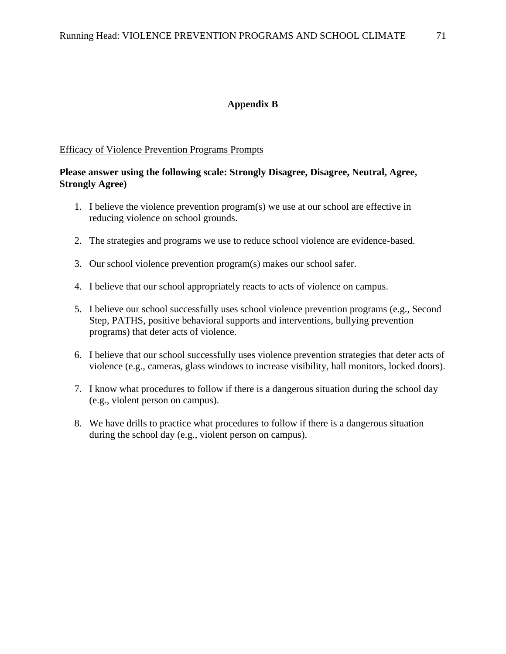### **Appendix B**

#### Efficacy of Violence Prevention Programs Prompts

# **Please answer using the following scale: Strongly Disagree, Disagree, Neutral, Agree, Strongly Agree)**

- 1. I believe the violence prevention program(s) we use at our school are effective in reducing violence on school grounds.
- 2. The strategies and programs we use to reduce school violence are evidence-based.
- 3. Our school violence prevention program(s) makes our school safer.
- 4. I believe that our school appropriately reacts to acts of violence on campus.
- 5. I believe our school successfully uses school violence prevention programs (e.g., Second Step, PATHS, positive behavioral supports and interventions, bullying prevention programs) that deter acts of violence.
- 6. I believe that our school successfully uses violence prevention strategies that deter acts of violence (e.g., cameras, glass windows to increase visibility, hall monitors, locked doors).
- 7. I know what procedures to follow if there is a dangerous situation during the school day (e.g., violent person on campus).
- 8. We have drills to practice what procedures to follow if there is a dangerous situation during the school day (e.g., violent person on campus).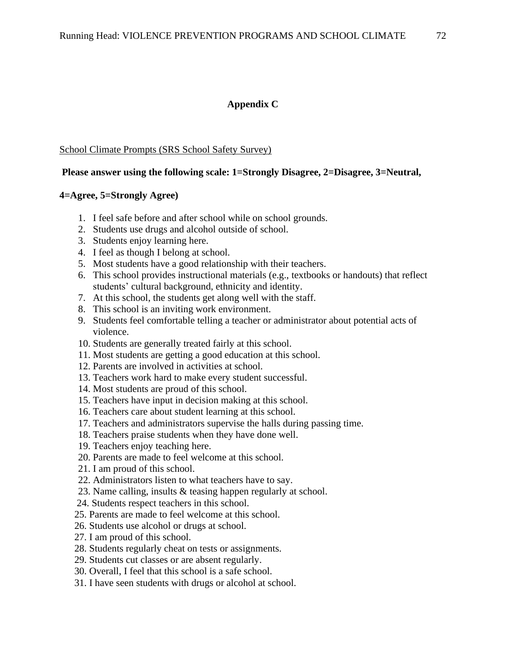## **Appendix C**

### School Climate Prompts (SRS School Safety Survey)

## **Please answer using the following scale: 1=Strongly Disagree, 2=Disagree, 3=Neutral,**

### **4=Agree, 5=Strongly Agree)**

- 1. I feel safe before and after school while on school grounds.
- 2. Students use drugs and alcohol outside of school.
- 3. Students enjoy learning here.
- 4. I feel as though I belong at school.
- 5. Most students have a good relationship with their teachers.
- 6. This school provides instructional materials (e.g., textbooks or handouts) that reflect students' cultural background, ethnicity and identity.
- 7. At this school, the students get along well with the staff.
- 8. This school is an inviting work environment.
- 9. Students feel comfortable telling a teacher or administrator about potential acts of violence.
- 10. Students are generally treated fairly at this school.
- 11. Most students are getting a good education at this school.
- 12. Parents are involved in activities at school.
- 13. Teachers work hard to make every student successful.
- 14. Most students are proud of this school.
- 15. Teachers have input in decision making at this school.
- 16. Teachers care about student learning at this school.
- 17. Teachers and administrators supervise the halls during passing time.
- 18. Teachers praise students when they have done well.
- 19. Teachers enjoy teaching here.
- 20. Parents are made to feel welcome at this school.
- 21. I am proud of this school.
- 22. Administrators listen to what teachers have to say.
- 23. Name calling, insults & teasing happen regularly at school.
- 24. Students respect teachers in this school.
- 25. Parents are made to feel welcome at this school.
- 26. Students use alcohol or drugs at school.
- 27. I am proud of this school.
- 28. Students regularly cheat on tests or assignments.
- 29. Students cut classes or are absent regularly.
- 30. Overall, I feel that this school is a safe school.
- 31. I have seen students with drugs or alcohol at school.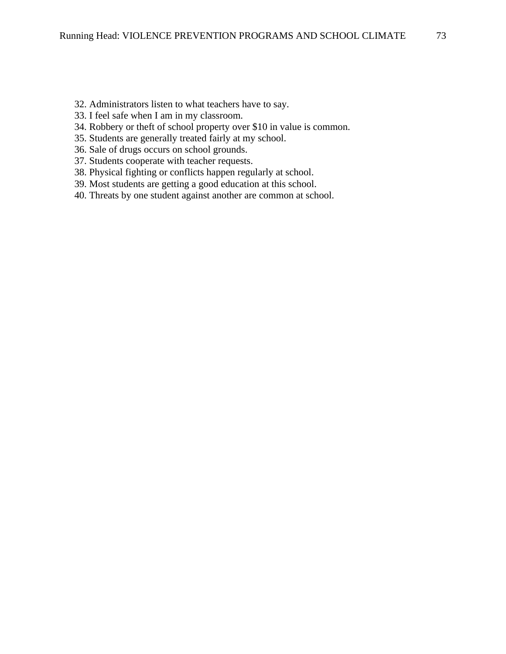- 32. Administrators listen to what teachers have to say.
- 33. I feel safe when I am in my classroom.
- 34. Robbery or theft of school property over \$10 in value is common.
- 35. Students are generally treated fairly at my school.
- 36. Sale of drugs occurs on school grounds.
- 37. Students cooperate with teacher requests.
- 38. Physical fighting or conflicts happen regularly at school.
- 39. Most students are getting a good education at this school.
- 40. Threats by one student against another are common at school.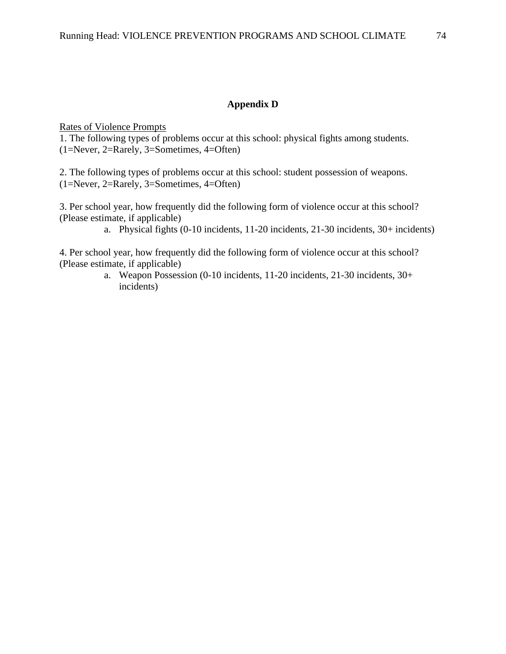## **Appendix D**

Rates of Violence Prompts

1. The following types of problems occur at this school: physical fights among students. (1=Never, 2=Rarely, 3=Sometimes, 4=Often)

2. The following types of problems occur at this school: student possession of weapons. (1=Never, 2=Rarely, 3=Sometimes, 4=Often)

3. Per school year, how frequently did the following form of violence occur at this school? (Please estimate, if applicable)

a. Physical fights (0-10 incidents, 11-20 incidents, 21-30 incidents, 30+ incidents)

4. Per school year, how frequently did the following form of violence occur at this school? (Please estimate, if applicable)

> a. Weapon Possession (0-10 incidents, 11-20 incidents, 21-30 incidents, 30+ incidents)